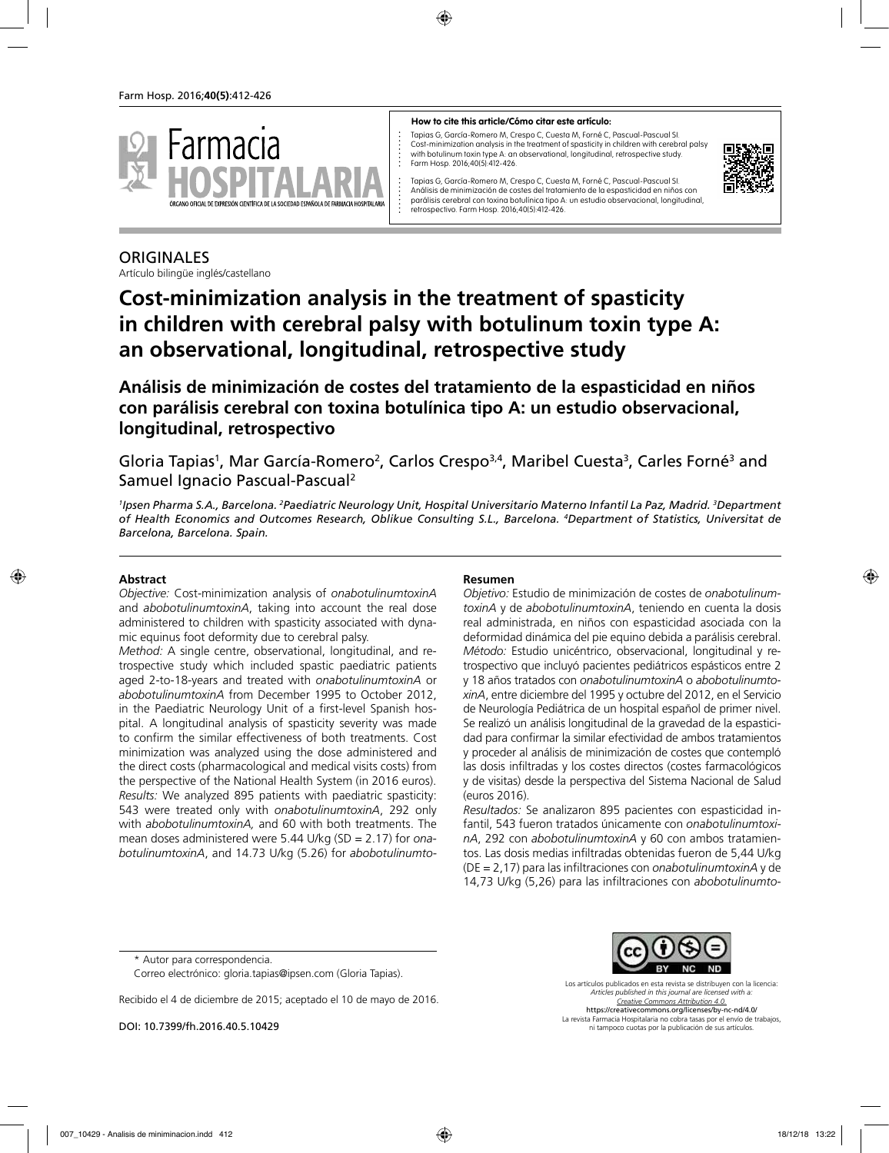

#### **How to cite this article/Cómo citar este artículo:**

Tapias G, García-Romero M, Crespo C, Cuesta M, Forné C, Pascual-Pascual SI. Cost-minimization analysis in the treatment of spasticity in children with cerebral palsy with botulinum toxin type A: an observational, longitudinal, retrospective study. Farm Hosp. 2016;40(5):412-426.



Tapias G, García-Romero M, Crespo C, Cuesta M, Forné C, Pascual-Pascual SI. Análisis de minimización de costes del tratamiento de la espasticidad en niños con parálisis cerebral con toxina botulínica tipo A: un estudio observacional, longitudinal, retrospectivo. Farm Hosp. 2016;40(5):412-426.

# **ORIGINALES**

Artículo bilingüe inglés/castellano

# **Cost-minimization analysis in the treatment of spasticity in children with cerebral palsy with botulinum toxin type A: an observational, longitudinal, retrospective study**

**Análisis de minimización de costes del tratamiento de la espasticidad en niños con parálisis cerebral con toxina botulínica tipo A: un estudio observacional, longitudinal, retrospectivo**

Gloria Tapias<sup>1</sup>, Mar García-Romero<sup>2</sup>, Carlos Crespo<sup>3,4</sup>, Maribel Cuesta<sup>3</sup>, Carles Forné<sup>3</sup> and Samuel Ignacio Pascual-Pascual2

*1 Ipsen Pharma S.A., Barcelona. 2 Paediatric Neurology Unit, Hospital Universitario Materno Infantil La Paz, Madrid. 3 Department of Health Economics and Outcomes Research, Oblikue Consulting S.L., Barcelona. 4 Department of Statistics, Universitat de Barcelona, Barcelona. Spain.*

### **Abstract**

*Objective:* Cost-minimization analysis of *onabotulinumtoxinA* and *abobotulinumtoxinA*, taking into account the real dose administered to children with spasticity associated with dynamic equinus foot deformity due to cerebral palsy.

*Method:* A single centre, observational, longitudinal, and retrospective study which included spastic paediatric patients aged 2-to-18-years and treated with *onabotulinumtoxinA* or *abobotulinumtoxinA* from December 1995 to October 2012, in the Paediatric Neurology Unit of a first-level Spanish hospital. A longitudinal analysis of spasticity severity was made to confirm the similar effectiveness of both treatments. Cost minimization was analyzed using the dose administered and the direct costs (pharmacological and medical visits costs) from the perspective of the National Health System (in 2016 euros). *Results:* We analyzed 895 patients with paediatric spasticity: 543 were treated only with *onabotulinumtoxinA*, 292 only with *abobotulinumtoxinA,* and 60 with both treatments. The mean doses administered were 5.44 U/kg (SD = 2.17) for *onabotulinumtoxinA*, and 14.73 U/kg (5.26) for *abobotulinumto-*

#### **Resumen**

*Objetivo:* Estudio de minimización de costes de *onabotulinumtoxinA* y de *abobotulinumtoxinA*, teniendo en cuenta la dosis real administrada, en niños con espasticidad asociada con la deformidad dinámica del pie equino debida a parálisis cerebral. *Método:* Estudio unicéntrico, observacional, longitudinal y retrospectivo que incluyó pacientes pediátricos espásticos entre 2 y 18 años tratados con *onabotulinumtoxinA* o *abobotulinumtoxinA*, entre diciembre del 1995 y octubre del 2012, en el Servicio de Neurología Pediátrica de un hospital español de primer nivel. Se realizó un análisis longitudinal de la gravedad de la espasticidad para confirmar la similar efectividad de ambos tratamientos y proceder al análisis de minimización de costes que contempló las dosis infiltradas y los costes directos (costes farmacológicos y de visitas) desde la perspectiva del Sistema Nacional de Salud (euros 2016).

*Resultados:* Se analizaron 895 pacientes con espasticidad infantil, 543 fueron tratados únicamente con *onabotulinumtoxinA*, 292 con *abobotulinumtoxinA* y 60 con ambos tratamientos. Las dosis medias infiltradas obtenidas fueron de 5,44 U/kg (DE = 2,17) para las infiltraciones con *onabotulinumtoxinA* y de 14,73 U/kg (5,26) para las infiltraciones con *abobotulinumto*

\* Autor para correspondencia.

Correo electrónico: gloria.tapias@ipsen.com (Gloria Tapias).

Recibido el 4 de diciembre de 2015; aceptado el 10 de mayo de 2016.

DOI: 10.7399/fh.2016.40.5.10429

Los artículos publicados en esta revista se distribuyen con la licencia: *Articles published in this journal are licensed with a: Creative Commons Attribution 4.0.* https://creativecommons.org/licenses/by-nc-nd/4.0/

La revista Farmacia Hospitalaria no cobra tasas por el envío de trabajos, ni tampoco cuotas por la publicación de sus artículos.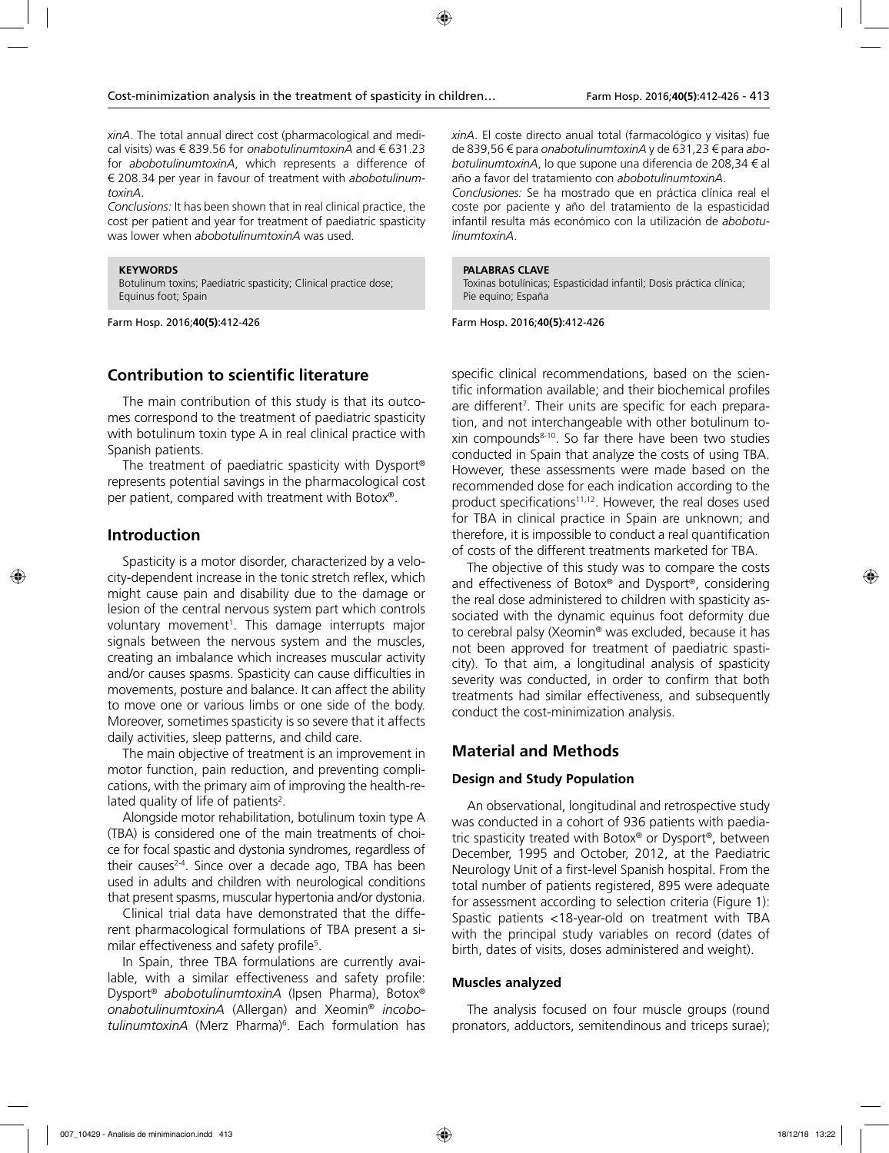*xinA*. The total annual direct cost (pharmacological and medical visits) was € 839.56 for *onabotulinumtoxinA* and € 631.23 for *abobotulinumtoxinA*, which represents a difference of € 208.34 per year in favour of treatment with *abobotulinumtoxinA*.

*Conclusions:* It has been shown that in real clinical practice, the cost per patient and year for treatment of paediatric spasticity was lower when *abobotulinumtoxinA* was used.

#### **KEYWORDS**

Botulinum toxins; Paediatric spasticity; Clinical practice dose; Equinus foot; Spain

Farm Hosp. 2016;**40(5)**:412-426

# **Contribution to scientific literature**

The main contribution of this study is that its outcomes correspond to the treatment of paediatric spasticity with botulinum toxin type A in real clinical practice with Spanish patients.

The treatment of paediatric spasticity with Dysport® represents potential savings in the pharmacological cost per patient, compared with treatment with Botox®.

# **Introduction**

Spasticity is a motor disorder, characterized by a velocity-dependent increase in the tonic stretch reflex, which might cause pain and disability due to the damage or lesion of the central nervous system part which controls voluntary movement<sup>1</sup>. This damage interrupts major signals between the nervous system and the muscles, creating an imbalance which increases muscular activity and/or causes spasms. Spasticity can cause difficulties in movements, posture and balance. It can affect the ability to move one or various limbs or one side of the body. Moreover, sometimes spasticity is so severe that it affects daily activities, sleep patterns, and child care.

The main objective of treatment is an improvement in motor function, pain reduction, and preventing complications, with the primary aim of improving the health-related quality of life of patients<sup>2</sup>.

Alongside motor rehabilitation, botulinum toxin type A (TBA) is considered one of the main treatments of choice for focal spastic and dystonia syndromes, regardless of their causes $2-4$ . Since over a decade ago, TBA has been used in adults and children with neurological conditions that present spasms, muscular hypertonia and/or dystonia.

Clinical trial data have demonstrated that the different pharmacological formulations of TBA present a similar effectiveness and safety profile<sup>5</sup>.

In Spain, three TBA formulations are currently available, with a similar effectiveness and safety profile: Dysport® *abobotulinumtoxinA* (Ipsen Pharma), Botox® *onabotulinumtoxinA* (Allergan) and Xeomin® *incobotulinumtoxinA* (Merz Pharma)6 . Each formulation has *xinA*. El coste directo anual total (farmacológico y visitas) fue de 839,56 € para *onabotulinumtoxinA* y de 631,23 € para *abobotulinumtoxinA*, lo que supone una diferencia de 208,34 € al año a favor del tratamiento con *abobotulinumtoxinA*.

*Conclusiones:* Se ha mostrado que en práctica clínica real el coste por paciente y año del tratamiento de la espasticidad infantil resulta más económico con la utilización de *abobotulinumtoxinA*.

#### **PALABRAS CLAVE**

Toxinas botulínicas; Espasticidad infantil; Dosis práctica clínica; Pie equino; España

Farm Hosp. 2016;**40(5)**:412-426

specific clinical recommendations, based on the scientific information available; and their biochemical profiles are different<sup>7</sup>. Their units are specific for each preparation, and not interchangeable with other botulinum toxin compounds8-10. So far there have been two studies conducted in Spain that analyze the costs of using TBA. However, these assessments were made based on the recommended dose for each indication according to the product specifications<sup>11,12</sup>. However, the real doses used for TBA in clinical practice in Spain are unknown; and therefore, it is impossible to conduct a real quantification of costs of the different treatments marketed for TBA.

The objective of this study was to compare the costs and effectiveness of Botox® and Dysport®, considering the real dose administered to children with spasticity associated with the dynamic equinus foot deformity due to cerebral palsy (Xeomin® was excluded, because it has not been approved for treatment of paediatric spasticity). To that aim, a longitudinal analysis of spasticity severity was conducted, in order to confirm that both treatments had similar effectiveness, and subsequently conduct the cost-minimization analysis.

# **Material and Methods**

### **Design and Study Population**

An observational, longitudinal and retrospective study was conducted in a cohort of 936 patients with paediatric spasticity treated with Botox® or Dysport®, between December, 1995 and October, 2012, at the Paediatric Neurology Unit of a first-level Spanish hospital. From the total number of patients registered, 895 were adequate for assessment according to selection criteria (Figure 1): Spastic patients <18-year-old on treatment with TBA with the principal study variables on record (dates of birth, dates of visits, doses administered and weight).

#### **Muscles analyzed**

The analysis focused on four muscle groups (round pronators, adductors, semitendinous and triceps surae);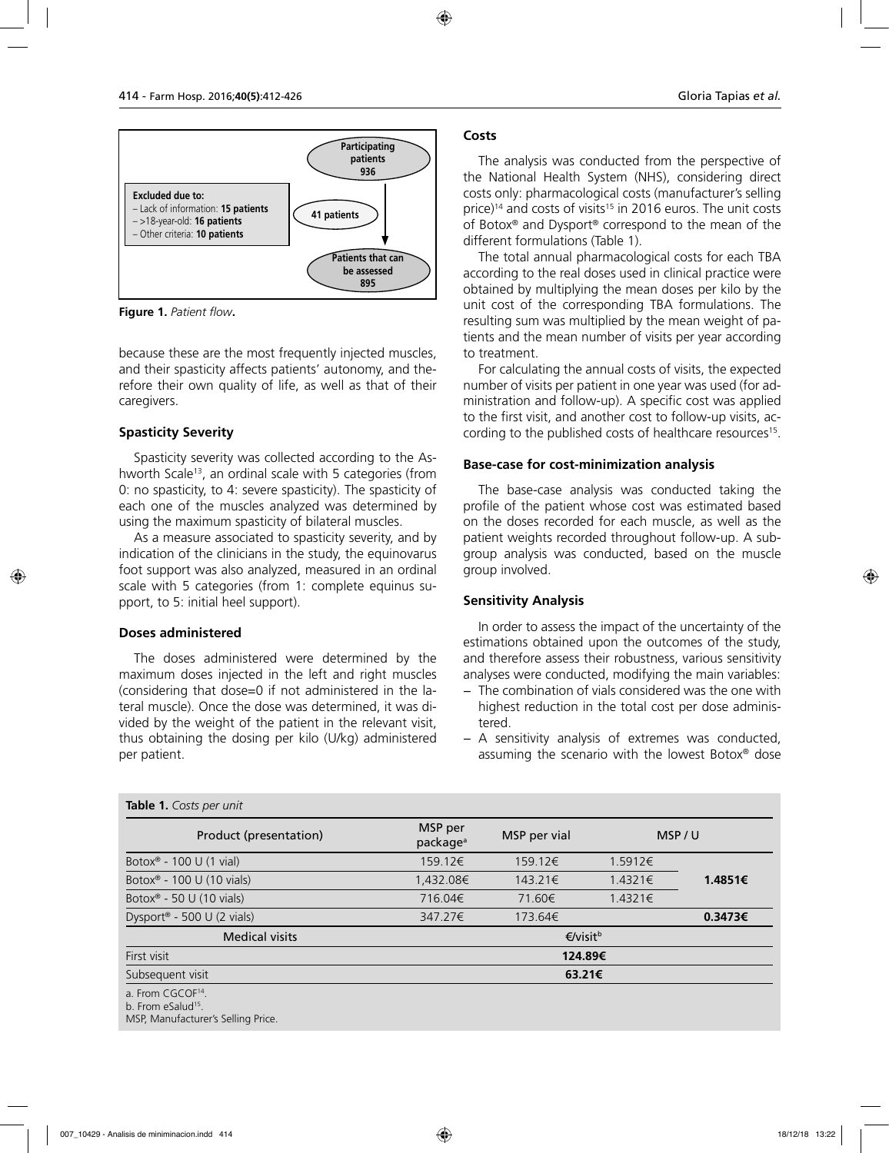

**Figure 1.** *Patient flow***.**

because these are the most frequently injected muscles, and their spasticity affects patients' autonomy, and therefore their own quality of life, as well as that of their caregivers.

# **Spasticity Severity**

Spasticity severity was collected according to the Ashworth Scale<sup>13</sup>, an ordinal scale with 5 categories (from 0: no spasticity, to 4: severe spasticity). The spasticity of each one of the muscles analyzed was determined by using the maximum spasticity of bilateral muscles.

As a measure associated to spasticity severity, and by indication of the clinicians in the study, the equinovarus foot support was also analyzed, measured in an ordinal scale with 5 categories (from 1: complete equinus support, to 5: initial heel support).

### **Doses administered**

The doses administered were determined by the maximum doses injected in the left and right muscles (considering that dose=0 if not administered in the lateral muscle). Once the dose was determined, it was divided by the weight of the patient in the relevant visit, thus obtaining the dosing per kilo (U/kg) administered per patient.

#### **Costs**

The analysis was conducted from the perspective of the National Health System (NHS), considering direct costs only: pharmacological costs (manufacturer's selling price)<sup>14</sup> and costs of visits<sup>15</sup> in 2016 euros. The unit costs of Botox® and Dysport® correspond to the mean of the different formulations (Table 1).

The total annual pharmacological costs for each TBA according to the real doses used in clinical practice were obtained by multiplying the mean doses per kilo by the unit cost of the corresponding TBA formulations. The resulting sum was multiplied by the mean weight of patients and the mean number of visits per year according to treatment.

For calculating the annual costs of visits, the expected number of visits per patient in one year was used (for administration and follow-up). A specific cost was applied to the first visit, and another cost to follow-up visits, according to the published costs of healthcare resources<sup>15</sup>.

### **Base-case for cost-minimization analysis**

The base-case analysis was conducted taking the profile of the patient whose cost was estimated based on the doses recorded for each muscle, as well as the patient weights recorded throughout follow-up. A subgroup analysis was conducted, based on the muscle group involved.

# **Sensitivity Analysis**

In order to assess the impact of the uncertainty of the estimations obtained upon the outcomes of the study, and therefore assess their robustness, various sensitivity analyses were conducted, modifying the main variables:

- − The combination of vials considered was the one with highest reduction in the total cost per dose administered.
- − A sensitivity analysis of extremes was conducted, assuming the scenario with the lowest Botox® dose

| Product (presentation)                                          | MSP per<br>package <sup>a</sup> | MSP per vial         |         | MSP/U   |
|-----------------------------------------------------------------|---------------------------------|----------------------|---------|---------|
| Botox <sup>®</sup> - 100 U (1 vial)                             | 159.12€                         | 159.12€              | 1.5912€ |         |
| Botox <sup>®</sup> - 100 U (10 vials)                           | 1,432.08€                       | 143.21€              | 1.4321€ | 1.4851€ |
| Botox <sup>®</sup> - 50 U (10 vials)                            | 716.04€                         | 71.60€               | 1.4321€ |         |
| Dysport® - 500 U (2 vials)                                      | 347.27€                         | 173.64€              |         | 0.3473€ |
| <b>Medical visits</b>                                           |                                 | €/visit <sup>b</sup> |         |         |
| First visit                                                     | 124.89€                         |                      |         |         |
| Subsequent visit                                                | 63.21€                          |                      |         |         |
| a. From CGCOF <sup>14</sup> .<br>b. From eSalud <sup>15</sup> . |                                 |                      |         |         |

MSP, Manufacturer's Selling Price.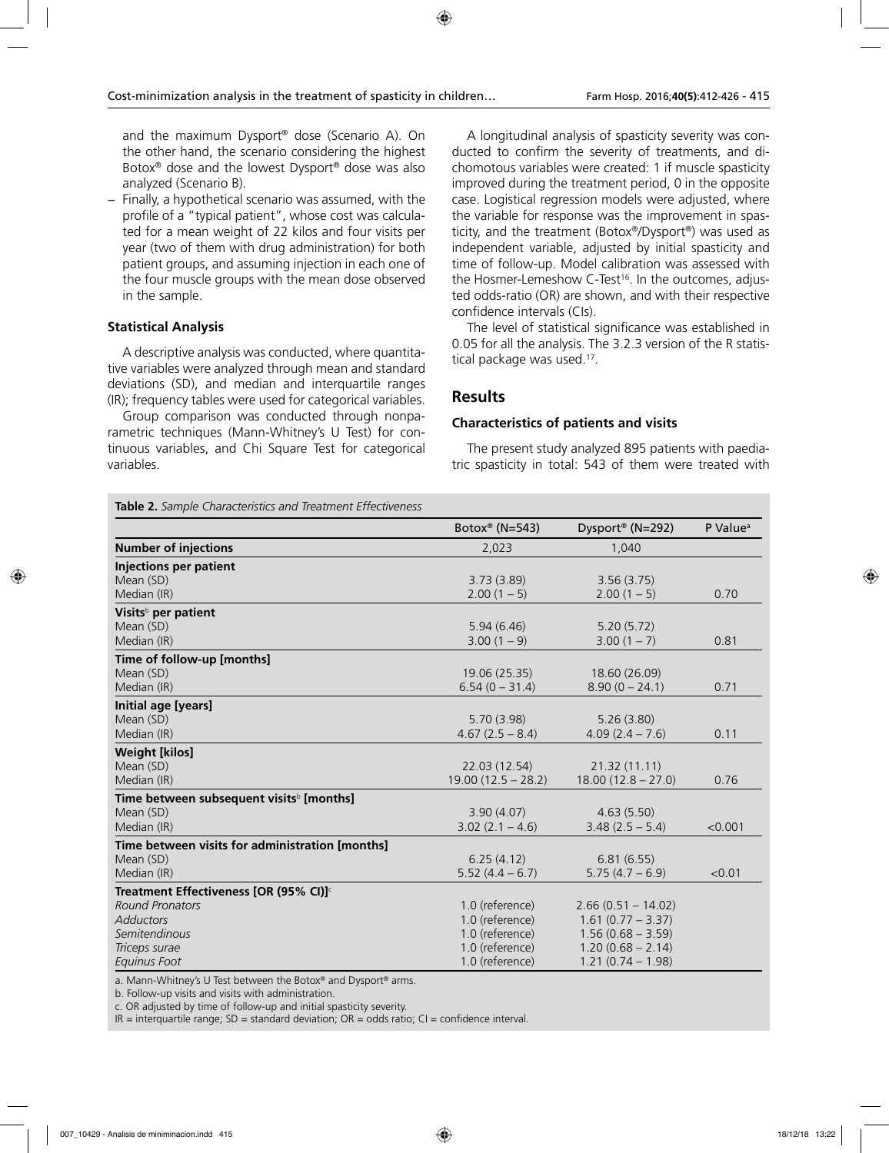and the maximum Dysport® dose (Scenario A). On the other hand, the scenario considering the highest Botox® dose and the lowest Dysport® dose was also analyzed (Scenario B).

Finally, a hypothetical scenario was assumed, with the profile of a "typical patient", whose cost was calculated for a mean weight of 22 kilos and four visits per year (two of them with drug administration) for both patient groups, and assuming injection in each one of the four muscle groups with the mean dose observed in the sample.

# **Statistical Analysis**

A descriptive analysis was conducted, where quantitative variables were analyzed through mean and standard deviations (SD), and median and interquartile ranges (IR); frequency tables were used for categorical variables.

Group comparison was conducted through nonparametric techniques (Mann-Whitney's U Test) for continuous variables, and Chi Square Test for categorical variables.

A longitudinal analysis of spasticity severity was conducted to confirm the severity of treatments, and dichomotous variables were created: 1 if muscle spasticity improved during the treatment period, 0 in the opposite case. Logistical regression models were adjusted, where the variable for response was the improvement in spasticity, and the treatment (Botox®/Dysport®) was used as independent variable, adjusted by initial spasticity and time of follow-up. Model calibration was assessed with the Hosmer-Lemeshow C-Test<sup>16</sup>. In the outcomes, adjusted odds-ratio (OR) are shown, and with their respective confidence intervals (CIs).

The level of statistical significance was established in 0.05 for all the analysis. The 3.2.3 version of the R statistical package was used.<sup>17</sup>.

# **Results**

#### **Characteristics of patients and visits**

The present study analyzed 895 patients with paediatric spasticity in total: 543 of them were treated with

| Table 2. Sample Characteristics and Treatment Effectiveness |  |
|-------------------------------------------------------------|--|
|-------------------------------------------------------------|--|

|                                                      | Botox <sup>®</sup> (N=543) | Dysport® (N=292)     | P Value <sup>a</sup> |
|------------------------------------------------------|----------------------------|----------------------|----------------------|
| <b>Number of injections</b>                          | 2,023                      | 1,040                |                      |
| <b>Injections per patient</b>                        |                            |                      |                      |
| Mean (SD)                                            | 3.73(3.89)                 | 3.56(3.75)           |                      |
| Median (IR)                                          | $2.00(1 - 5)$              | $2.00(1 - 5)$        | 0.70                 |
| Visits <sup>b</sup> per patient                      |                            |                      |                      |
| Mean (SD)                                            | 5.94(6.46)                 | 5.20(5.72)           |                      |
| Median (IR)                                          | $3.00(1 - 9)$              | $3.00(1 - 7)$        | 0.81                 |
| Time of follow-up [months]                           |                            |                      |                      |
| Mean (SD)                                            | 19.06 (25.35)              | 18.60 (26.09)        |                      |
| Median (IR)                                          | $6.54(0 - 31.4)$           | $8.90(0 - 24.1)$     | 0.71                 |
| Initial age [years]                                  |                            |                      |                      |
| Mean (SD)                                            | 5.70(3.98)                 | 5.26(3.80)           |                      |
| Median (IR)                                          | $4.67(2.5 - 8.4)$          | $4.09(2.4 - 7.6)$    | 0.11                 |
| <b>Weight [kilos]</b>                                |                            |                      |                      |
| Mean (SD)                                            | 22.03 (12.54)              | 21.32 (11.11)        |                      |
| Median (IR)                                          | $19.00(12.5 - 28.2)$       | $18.00(12.8 - 27.0)$ | 0.76                 |
| Time between subsequent visits <sup>b</sup> [months] |                            |                      |                      |
| Mean (SD)                                            | 3.90(4.07)                 | 4.63(5.50)           |                      |
| Median (IR)                                          | $3.02(2.1 - 4.6)$          | $3.48(2.5 - 5.4)$    | < 0.001              |
| Time between visits for administration [months]      |                            |                      |                      |
| Mean (SD)                                            | 6.25(4.12)                 | 6.81(6.55)           |                      |
| Median (IR)                                          | $5.52(4.4 - 6.7)$          | $5.75(4.7 - 6.9)$    | < 0.01               |
| Treatment Effectiveness [OR (95% CI)] <sup>c</sup>   |                            |                      |                      |
| <b>Round Pronators</b>                               | 1.0 (reference)            | $2.66(0.51 - 14.02)$ |                      |
| <b>Adductors</b>                                     | 1.0 (reference)            | $1.61(0.77 - 3.37)$  |                      |
| Semitendinous                                        | 1.0 (reference)            | $1.56(0.68 - 3.59)$  |                      |
| Triceps surae                                        | 1.0 (reference)            | $1.20(0.68 - 2.14)$  |                      |
| Equinus Foot                                         | 1.0 (reference)            | $1.21(0.74 - 1.98)$  |                      |

a. Mann-Whitney's U Test between the Botox® and Dysport® arms.

b. Follow-up visits and visits with administration.

c. OR adjusted by time of follow-up and initial spasticity severity.

 $IR =$  interquartile range;  $SD =$  standard deviation;  $OR =$  odds ratio;  $CI =$  confidence interval.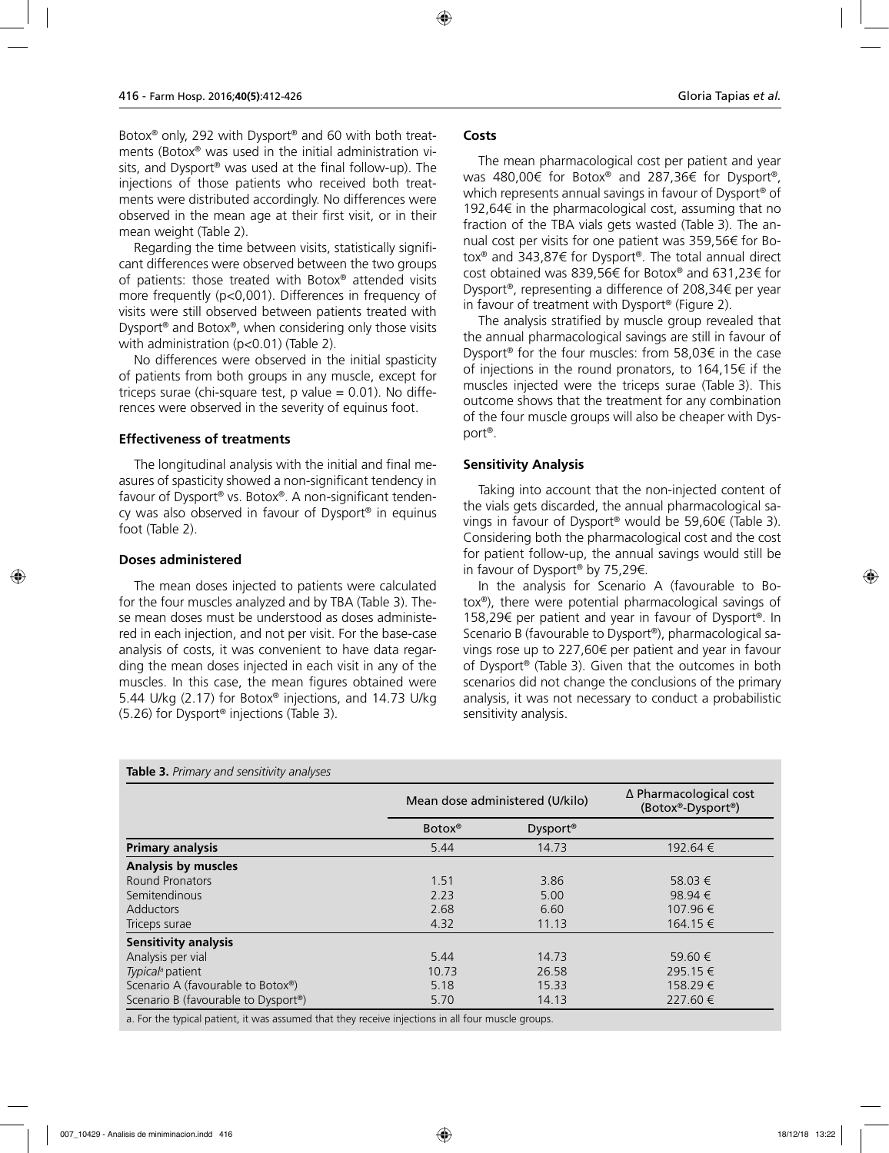Botox® only, 292 with Dysport® and 60 with both treatments (Botox® was used in the initial administration visits, and Dysport® was used at the final follow-up). The injections of those patients who received both treatments were distributed accordingly. No differences were observed in the mean age at their first visit, or in their mean weight (Table 2).

Regarding the time between visits, statistically significant differences were observed between the two groups of patients: those treated with Botox® attended visits more frequently (p<0,001). Differences in frequency of visits were still observed between patients treated with Dysport® and Botox®, when considering only those visits with administration (p<0.01) (Table 2).

No differences were observed in the initial spasticity of patients from both groups in any muscle, except for triceps surae (chi-square test,  $p$  value = 0.01). No differences were observed in the severity of equinus foot.

#### **Effectiveness of treatments**

The longitudinal analysis with the initial and final measures of spasticity showed a non-significant tendency in favour of Dysport® vs. Botox®. A non-significant tendency was also observed in favour of Dysport® in equinus foot (Table 2).

#### **Doses administered**

The mean doses injected to patients were calculated for the four muscles analyzed and by TBA (Table 3). These mean doses must be understood as doses administered in each injection, and not per visit. For the base-case analysis of costs, it was convenient to have data regarding the mean doses injected in each visit in any of the muscles. In this case, the mean figures obtained were 5.44 U/kg (2.17) for Botox® injections, and 14.73 U/kg (5.26) for Dysport® injections (Table 3).

### **Costs**

The mean pharmacological cost per patient and year was 480,00€ for Botox® and 287,36€ for Dysport®, which represents annual savings in favour of Dysport® of 192,64€ in the pharmacological cost, assuming that no fraction of the TBA vials gets wasted (Table 3). The annual cost per visits for one patient was 359,56€ for Botox® and 343,87€ for Dysport®. The total annual direct cost obtained was 839,56€ for Botox® and 631,23€ for Dysport®, representing a difference of 208,34€ per year in favour of treatment with Dysport® (Figure 2).

The analysis stratified by muscle group revealed that the annual pharmacological savings are still in favour of Dysport® for the four muscles: from 58,03€ in the case of injections in the round pronators, to 164,15€ if the muscles injected were the triceps surae (Table 3). This outcome shows that the treatment for any combination of the four muscle groups will also be cheaper with Dysport®.

### **Sensitivity Analysis**

Taking into account that the non-injected content of the vials gets discarded, the annual pharmacological savings in favour of Dysport® would be 59,60€ (Table 3). Considering both the pharmacological cost and the cost for patient follow-up, the annual savings would still be in favour of Dysport® by 75,29€.

In the analysis for Scenario A (favourable to Botox®), there were potential pharmacological savings of 158,29€ per patient and year in favour of Dysport®. In Scenario B (favourable to Dysport®), pharmacological savings rose up to 227,60€ per patient and year in favour of Dysport® (Table 3). Given that the outcomes in both scenarios did not change the conclusions of the primary analysis, it was not necessary to conduct a probabilistic sensitivity analysis.

| Table 3. Primary and sensitivity analyses        |                                 |                      |                                             |  |
|--------------------------------------------------|---------------------------------|----------------------|---------------------------------------------|--|
|                                                  | Mean dose administered (U/kilo) |                      | ∆ Pharmacological cost<br>(Botox®-Dysport®) |  |
|                                                  | Botox <sup>®</sup>              | Dysport <sup>®</sup> |                                             |  |
| <b>Primary analysis</b>                          | 5.44                            | 14.73                | 192.64 €                                    |  |
| <b>Analysis by muscles</b>                       |                                 |                      |                                             |  |
| Round Pronators                                  | 1.51                            | 3.86                 | 58.03 €                                     |  |
| Semitendinous                                    | 2.23                            | 5.00                 | 98.94 $\in$                                 |  |
| <b>Adductors</b>                                 | 2.68                            | 6.60                 | 107.96 €                                    |  |
| Triceps surae                                    | 4.32                            | 11.13                | 164.15 €                                    |  |
| <b>Sensitivity analysis</b>                      |                                 |                      |                                             |  |
| Analysis per vial                                | 5.44                            | 14.73                | 59.60 €                                     |  |
| Typical <sup>a</sup> patient                     | 10.73                           | 26.58                | 295.15 €                                    |  |
| Scenario A (favourable to Botox®)                | 5.18                            | 15.33                | 158.29 €                                    |  |
| Scenario B (favourable to Dysport <sup>®</sup> ) | 5.70                            | 14.13                | 227.60 €                                    |  |

a. For the typical patient, it was assumed that they receive injections in all four muscle groups.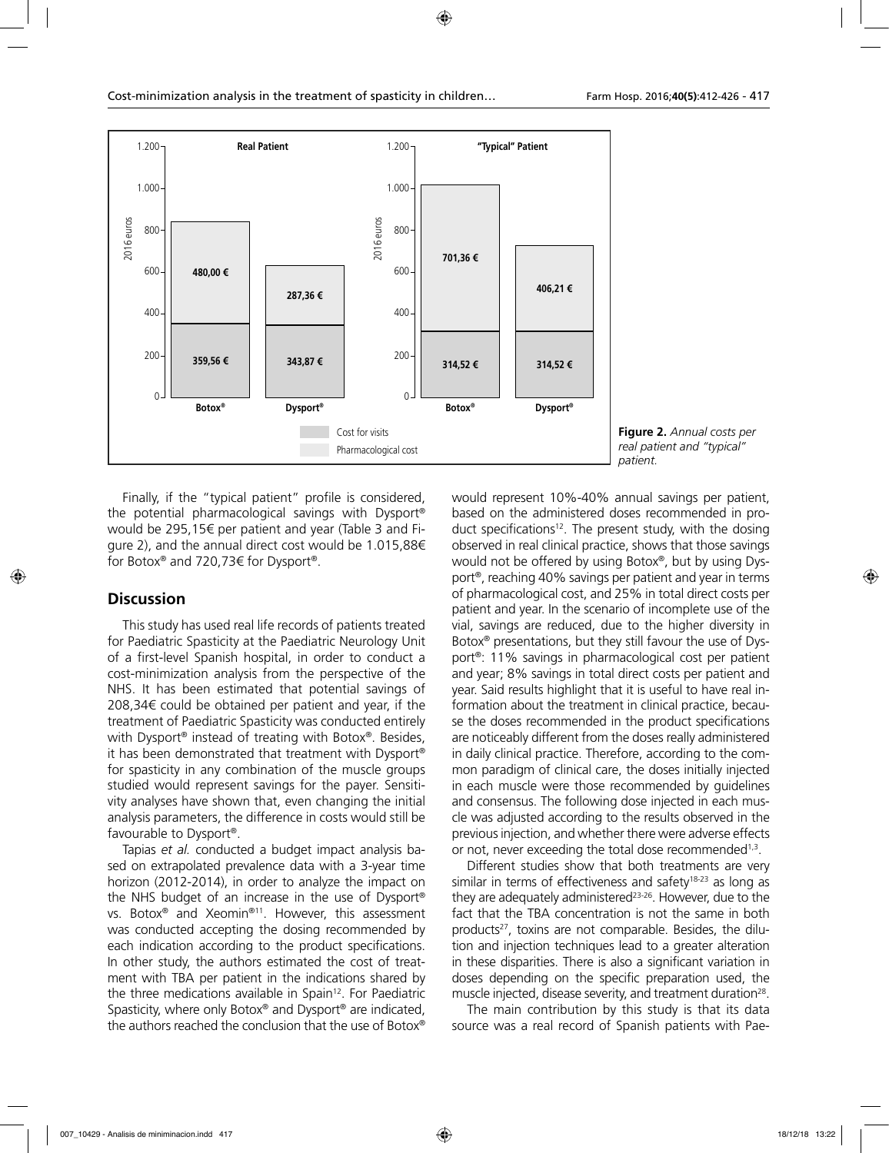

**Figure 2.** *Annual costs per real patient and "typical" patient.*

Finally, if the "typical patient" profile is considered, the potential pharmacological savings with Dysport® would be 295,15€ per patient and year (Table 3 and Figure 2), and the annual direct cost would be 1.015,88€ for Botox® and 720,73€ for Dysport®.

# **Discussion**

This study has used real life records of patients treated for Paediatric Spasticity at the Paediatric Neurology Unit of a first-level Spanish hospital, in order to conduct a cost-minimization analysis from the perspective of the NHS. It has been estimated that potential savings of 208,34€ could be obtained per patient and year, if the treatment of Paediatric Spasticity was conducted entirely with Dysport<sup>®</sup> instead of treating with Botox®. Besides, it has been demonstrated that treatment with Dysport® for spasticity in any combination of the muscle groups studied would represent savings for the payer. Sensitivity analyses have shown that, even changing the initial analysis parameters, the difference in costs would still be favourable to Dysport®.

Tapias *et al.* conducted a budget impact analysis based on extrapolated prevalence data with a 3-year time horizon (2012-2014), in order to analyze the impact on the NHS budget of an increase in the use of Dysport® vs. Botox® and Xeomin®11. However, this assessment was conducted accepting the dosing recommended by each indication according to the product specifications. In other study, the authors estimated the cost of treatment with TBA per patient in the indications shared by the three medications available in Spain<sup>12</sup>. For Paediatric Spasticity, where only Botox® and Dysport® are indicated, the authors reached the conclusion that the use of Botox®

would represent 10%-40% annual savings per patient, based on the administered doses recommended in product specifications<sup>12</sup>. The present study, with the dosing observed in real clinical practice, shows that those savings would not be offered by using Botox®, but by using Dysport®, reaching 40% savings per patient and year in terms of pharmacological cost, and 25% in total direct costs per patient and year. In the scenario of incomplete use of the vial, savings are reduced, due to the higher diversity in Botox® presentations, but they still favour the use of Dysport®: 11% savings in pharmacological cost per patient and year; 8% savings in total direct costs per patient and year. Said results highlight that it is useful to have real information about the treatment in clinical practice, because the doses recommended in the product specifications are noticeably different from the doses really administered in daily clinical practice. Therefore, according to the common paradigm of clinical care, the doses initially injected in each muscle were those recommended by guidelines and consensus. The following dose injected in each muscle was adjusted according to the results observed in the previous injection, and whether there were adverse effects or not, never exceeding the total dose recommended<sup>1,3</sup>.

Different studies show that both treatments are very similar in terms of effectiveness and safety<sup>18-23</sup> as long as they are adequately administered<sup>23-26</sup>. However, due to the fact that the TBA concentration is not the same in both products<sup>27</sup>, toxins are not comparable. Besides, the dilution and injection techniques lead to a greater alteration in these disparities. There is also a significant variation in doses depending on the specific preparation used, the muscle injected, disease severity, and treatment duration<sup>28</sup>.

The main contribution by this study is that its data source was a real record of Spanish patients with Pae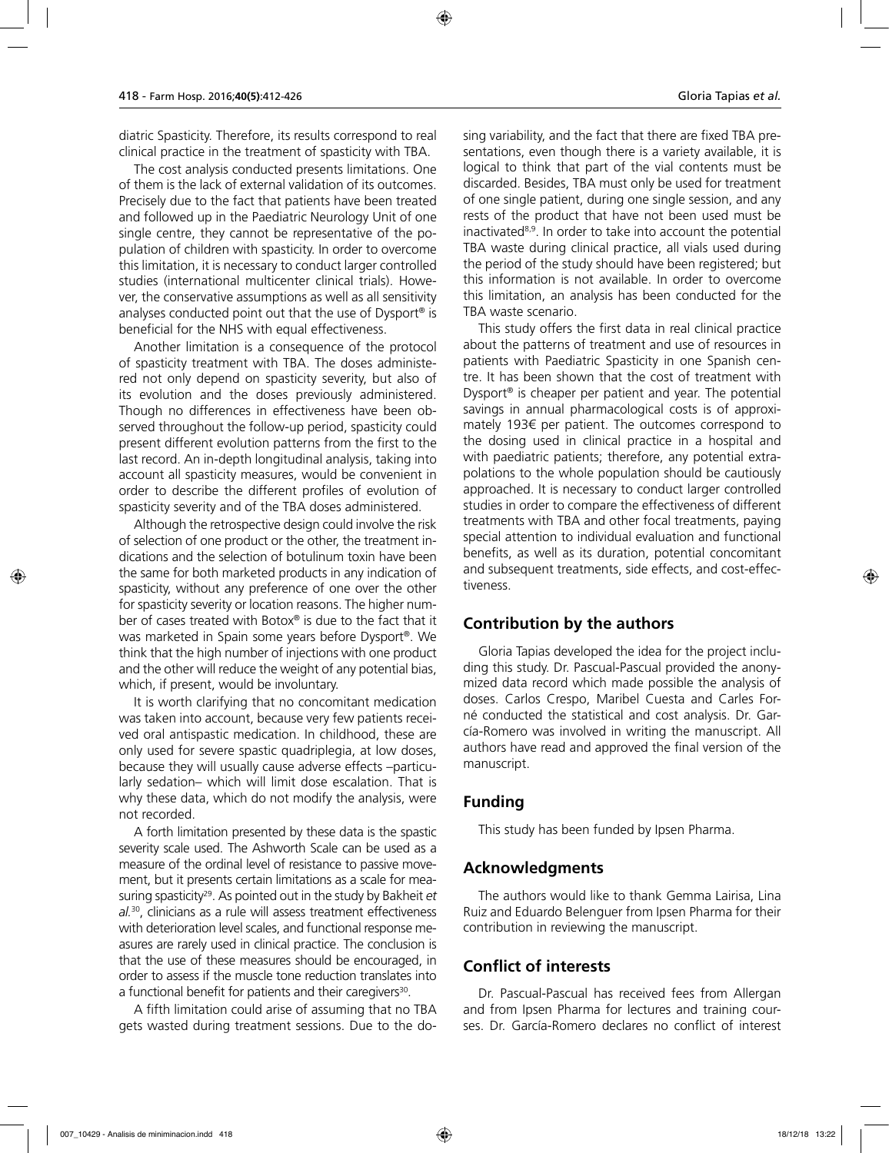diatric Spasticity. Therefore, its results correspond to real clinical practice in the treatment of spasticity with TBA.

The cost analysis conducted presents limitations. One of them is the lack of external validation of its outcomes. Precisely due to the fact that patients have been treated and followed up in the Paediatric Neurology Unit of one single centre, they cannot be representative of the population of children with spasticity. In order to overcome this limitation, it is necessary to conduct larger controlled studies (international multicenter clinical trials). However, the conservative assumptions as well as all sensitivity analyses conducted point out that the use of Dysport® is beneficial for the NHS with equal effectiveness.

Another limitation is a consequence of the protocol of spasticity treatment with TBA. The doses administered not only depend on spasticity severity, but also of its evolution and the doses previously administered. Though no differences in effectiveness have been observed throughout the follow-up period, spasticity could present different evolution patterns from the first to the last record. An in-depth longitudinal analysis, taking into account all spasticity measures, would be convenient in order to describe the different profiles of evolution of spasticity severity and of the TBA doses administered.

Although the retrospective design could involve the risk of selection of one product or the other, the treatment indications and the selection of botulinum toxin have been the same for both marketed products in any indication of spasticity, without any preference of one over the other for spasticity severity or location reasons. The higher number of cases treated with Botox® is due to the fact that it was marketed in Spain some years before Dysport®. We think that the high number of injections with one product and the other will reduce the weight of any potential bias, which, if present, would be involuntary.

It is worth clarifying that no concomitant medication was taken into account, because very few patients received oral antispastic medication. In childhood, these are only used for severe spastic quadriplegia, at low doses, because they will usually cause adverse effects –particularly sedation– which will limit dose escalation. That is why these data, which do not modify the analysis, were not recorded.

A forth limitation presented by these data is the spastic severity scale used. The Ashworth Scale can be used as a measure of the ordinal level of resistance to passive movement, but it presents certain limitations as a scale for measuring spasticity29. As pointed out in the study by Bakheit *et al.*30, clinicians as a rule will assess treatment effectiveness with deterioration level scales, and functional response measures are rarely used in clinical practice. The conclusion is that the use of these measures should be encouraged, in order to assess if the muscle tone reduction translates into a functional benefit for patients and their caregivers<sup>30</sup>.

A fifth limitation could arise of assuming that no TBA gets wasted during treatment sessions. Due to the dosing variability, and the fact that there are fixed TBA presentations, even though there is a variety available, it is logical to think that part of the vial contents must be discarded. Besides, TBA must only be used for treatment of one single patient, during one single session, and any rests of the product that have not been used must be inactivated8,9. In order to take into account the potential TBA waste during clinical practice, all vials used during the period of the study should have been registered; but this information is not available. In order to overcome this limitation, an analysis has been conducted for the TBA waste scenario.

This study offers the first data in real clinical practice about the patterns of treatment and use of resources in patients with Paediatric Spasticity in one Spanish centre. It has been shown that the cost of treatment with Dysport® is cheaper per patient and year. The potential savings in annual pharmacological costs is of approximately 193€ per patient. The outcomes correspond to the dosing used in clinical practice in a hospital and with paediatric patients; therefore, any potential extrapolations to the whole population should be cautiously approached. It is necessary to conduct larger controlled studies in order to compare the effectiveness of different treatments with TBA and other focal treatments, paying special attention to individual evaluation and functional benefits, as well as its duration, potential concomitant and subsequent treatments, side effects, and cost-effectiveness.

# **Contribution by the authors**

Gloria Tapias developed the idea for the project including this study. Dr. Pascual-Pascual provided the anonymized data record which made possible the analysis of doses. Carlos Crespo, Maribel Cuesta and Carles Forné conducted the statistical and cost analysis. Dr. García-Romero was involved in writing the manuscript. All authors have read and approved the final version of the manuscript.

# **Funding**

This study has been funded by Ipsen Pharma.

# **Acknowledgments**

The authors would like to thank Gemma Lairisa, Lina Ruiz and Eduardo Belenguer from Ipsen Pharma for their contribution in reviewing the manuscript.

# **Conflict of interests**

Dr. Pascual-Pascual has received fees from Allergan and from Ipsen Pharma for lectures and training courses. Dr. García-Romero declares no conflict of interest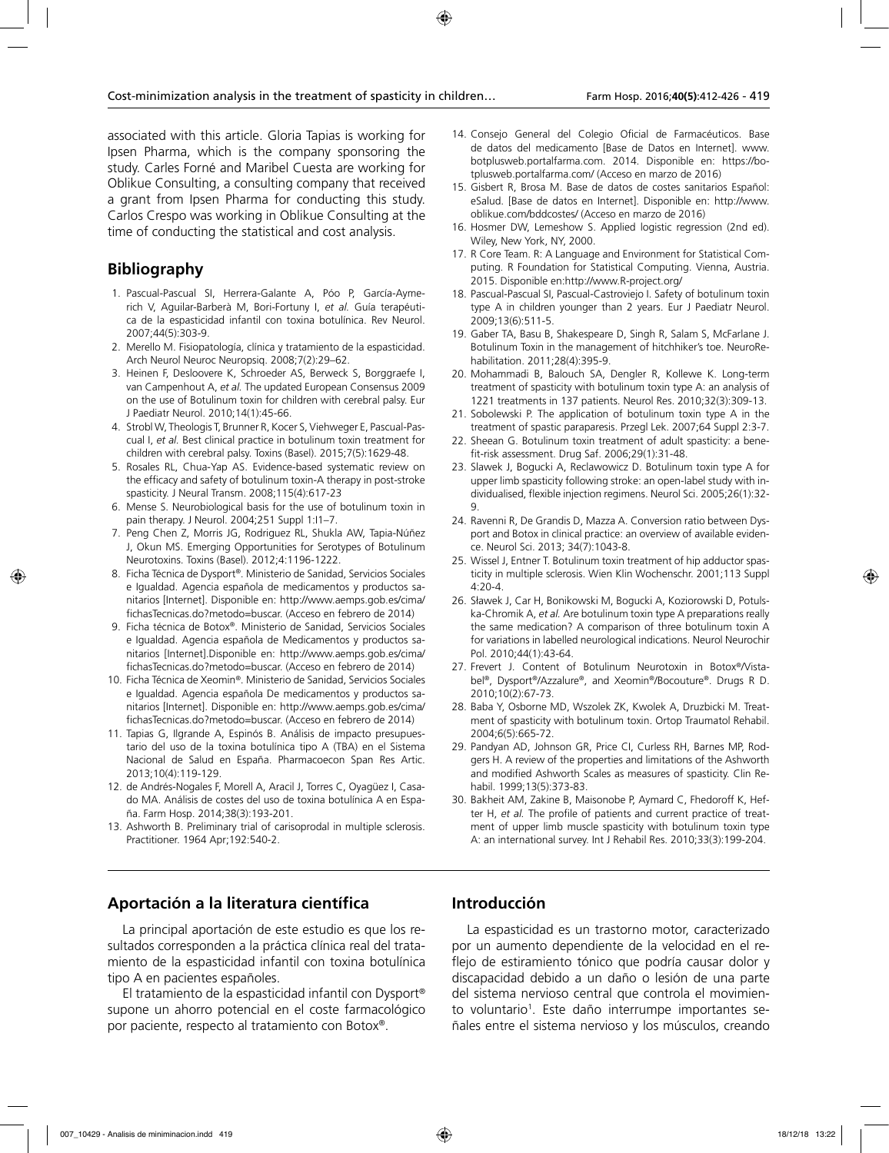associated with this article. Gloria Tapias is working for Ipsen Pharma, which is the company sponsoring the study. Carles Forné and Maribel Cuesta are working for Oblikue Consulting, a consulting company that received a grant from Ipsen Pharma for conducting this study. Carlos Crespo was working in Oblikue Consulting at the time of conducting the statistical and cost analysis.

# **Bibliography**

- 1. Pascual-Pascual SI, Herrera-Galante A, Póo P, García-Aymerich V, Aguilar-Barberà M, Bori-Fortuny I, *et al.* Guía terapéutica de la espasticidad infantil con toxina botulínica. Rev Neurol. 2007;44(5):303-9.
- 2. Merello M. Fisiopatología, clínica y tratamiento de la espasticidad. Arch Neurol Neuroc Neuropsiq. 2008;7(2):29–62.
- 3. Heinen F, Desloovere K, Schroeder AS, Berweck S, Borggraefe I, van Campenhout A, *et al.* The updated European Consensus 2009 on the use of Botulinum toxin for children with cerebral palsy. Eur J Paediatr Neurol. 2010;14(1):45-66.
- 4. Strobl W, Theologis T, Brunner R, Kocer S, Viehweger E, Pascual-Pascual I, *et al.* Best clinical practice in botulinum toxin treatment for children with cerebral palsy. Toxins (Basel). 2015;7(5):1629-48.
- 5. Rosales RL, Chua-Yap AS. Evidence-based systematic review on the efficacy and safety of botulinum toxin-A therapy in post-stroke spasticity. J Neural Transm. 2008;115(4):617-23
- 6. Mense S. Neurobiological basis for the use of botulinum toxin in pain therapy. J Neurol. 2004;251 Suppl 1:I1–7.
- 7. Peng Chen Z, Morris JG, Rodriguez RL, Shukla AW, Tapia-Núñez J, Okun MS. Emerging Opportunities for Serotypes of Botulinum Neurotoxins. Toxins (Basel). 2012;4:1196-1222.
- 8. Ficha Técnica de Dysport®. Ministerio de Sanidad, Servicios Sociales e Igualdad. Agencia española de medicamentos y productos sanitarios [Internet]. Disponible en: http://www.aemps.gob.es/cima/ fichasTecnicas.do?metodo=buscar. (Acceso en febrero de 2014)
- 9. Ficha técnica de Botox®. Ministerio de Sanidad, Servicios Sociales e Igualdad. Agencia española de Medicamentos y productos sanitarios [Internet].Disponible en: http://www.aemps.gob.es/cima/ fichasTecnicas.do?metodo=buscar. (Acceso en febrero de 2014)
- 10. Ficha Técnica de Xeomin®. Ministerio de Sanidad, Servicios Sociales e Igualdad. Agencia española De medicamentos y productos sanitarios [Internet]. Disponible en: http://www.aemps.gob.es/cima/ fichasTecnicas.do?metodo=buscar. (Acceso en febrero de 2014)
- 11. Tapias G, Ilgrande A, Espinós B. Análisis de impacto presupuestario del uso de la toxina botulínica tipo A (TBA) en el Sistema Nacional de Salud en España. Pharmacoecon Span Res Artic. 2013;10(4):119-129.
- 12. de Andrés-Nogales F, Morell A, Aracil J, Torres C, Oyagüez I, Casado MA. Análisis de costes del uso de toxina botulínica A en España. Farm Hosp. 2014;38(3):193-201.
- 13. Ashworth B. Preliminary trial of carisoprodal in multiple sclerosis. Practitioner. 1964 Apr;192:540-2.
- 14. Consejo General del Colegio Oficial de Farmacéuticos. Base de datos del medicamento [Base de Datos en Internet]. www. botplusweb.portalfarma.com. 2014. Disponible en: https://botplusweb.portalfarma.com/ (Acceso en marzo de 2016)
- 15. Gisbert R, Brosa M. Base de datos de costes sanitarios Español: eSalud. [Base de datos en Internet]. Disponible en: http://www. oblikue.com/bddcostes/ (Acceso en marzo de 2016)
- 16. Hosmer DW, Lemeshow S. Applied logistic regression (2nd ed). Wiley, New York, NY, 2000.
- 17. R Core Team. R: A Language and Environment for Statistical Computing. R Foundation for Statistical Computing. Vienna, Austria. 2015. Disponible en:http://www.R-project.org/
- 18. Pascual-Pascual SI, Pascual-Castroviejo I. Safety of botulinum toxin type A in children younger than 2 years. Eur J Paediatr Neurol. 2009;13(6):511-5.
- 19. Gaber TA, Basu B, Shakespeare D, Singh R, Salam S, McFarlane J. Botulinum Toxin in the management of hitchhiker's toe. NeuroRehabilitation. 2011;28(4):395-9.
- 20. Mohammadi B, Balouch SA, Dengler R, Kollewe K. Long-term treatment of spasticity with botulinum toxin type A: an analysis of 1221 treatments in 137 patients. Neurol Res. 2010;32(3):309-13.
- 21. Sobolewski P. The application of botulinum toxin type A in the treatment of spastic paraparesis. Przegl Lek. 2007;64 Suppl 2:3-7.
- 22. Sheean G. Botulinum toxin treatment of adult spasticity: a benefit-risk assessment. Drug Saf. 2006;29(1):31-48.
- 23. Slawek J, Bogucki A, Reclawowicz D. Botulinum toxin type A for upper limb spasticity following stroke: an open-label study with individualised, flexible injection regimens. Neurol Sci. 2005;26(1):32- 9.
- 24. Ravenni R, De Grandis D, Mazza A. Conversion ratio between Dysport and Botox in clinical practice: an overview of available evidence. Neurol Sci. 2013; 34(7):1043-8.
- 25. Wissel J, Entner T. Botulinum toxin treatment of hip adductor spasticity in multiple sclerosis. Wien Klin Wochenschr. 2001;113 Suppl 4:20-4.
- 26. Sławek J, Car H, Bonikowski M, Bogucki A, Koziorowski D, Potulska-Chromik A, *et al.* Are botulinum toxin type A preparations really the same medication? A comparison of three botulinum toxin A for variations in labelled neurological indications. Neurol Neurochir Pol. 2010;44(1):43-64.
- 27. Frevert J. Content of Botulinum Neurotoxin in Botox®/Vistabel®, Dysport®/Azzalure®, and Xeomin®/Bocouture®. Drugs R D. 2010;10(2):67-73.
- 28. Baba Y, Osborne MD, Wszolek ZK, Kwolek A, Druzbicki M. Treatment of spasticity with botulinum toxin. Ortop Traumatol Rehabil. 2004;6(5):665-72.
- 29. Pandyan AD, Johnson GR, Price CI, Curless RH, Barnes MP, Rodgers H. A review of the properties and limitations of the Ashworth and modified Ashworth Scales as measures of spasticity. Clin Rehabil. 1999;13(5):373-83.
- 30. Bakheit AM, Zakine B, Maisonobe P, Aymard C, Fhedoroff K, Hefter H, *et al.* The profile of patients and current practice of treatment of upper limb muscle spasticity with botulinum toxin type A: an international survey. Int J Rehabil Res. 2010;33(3):199-204.

# **Aportación a la literatura científica**

La principal aportación de este estudio es que los resultados corresponden a la práctica clínica real del tratamiento de la espasticidad infantil con toxina botulínica tipo A en pacientes españoles.

El tratamiento de la espasticidad infantil con Dysport® supone un ahorro potencial en el coste farmacológico por paciente, respecto al tratamiento con Botox®.

# **Introducción**

La espasticidad es un trastorno motor, caracterizado por un aumento dependiente de la velocidad en el reflejo de estiramiento tónico que podría causar dolor y discapacidad debido a un daño o lesión de una parte del sistema nervioso central que controla el movimiento voluntario<sup>1</sup>. Este daño interrumpe importantes señales entre el sistema nervioso y los músculos, creando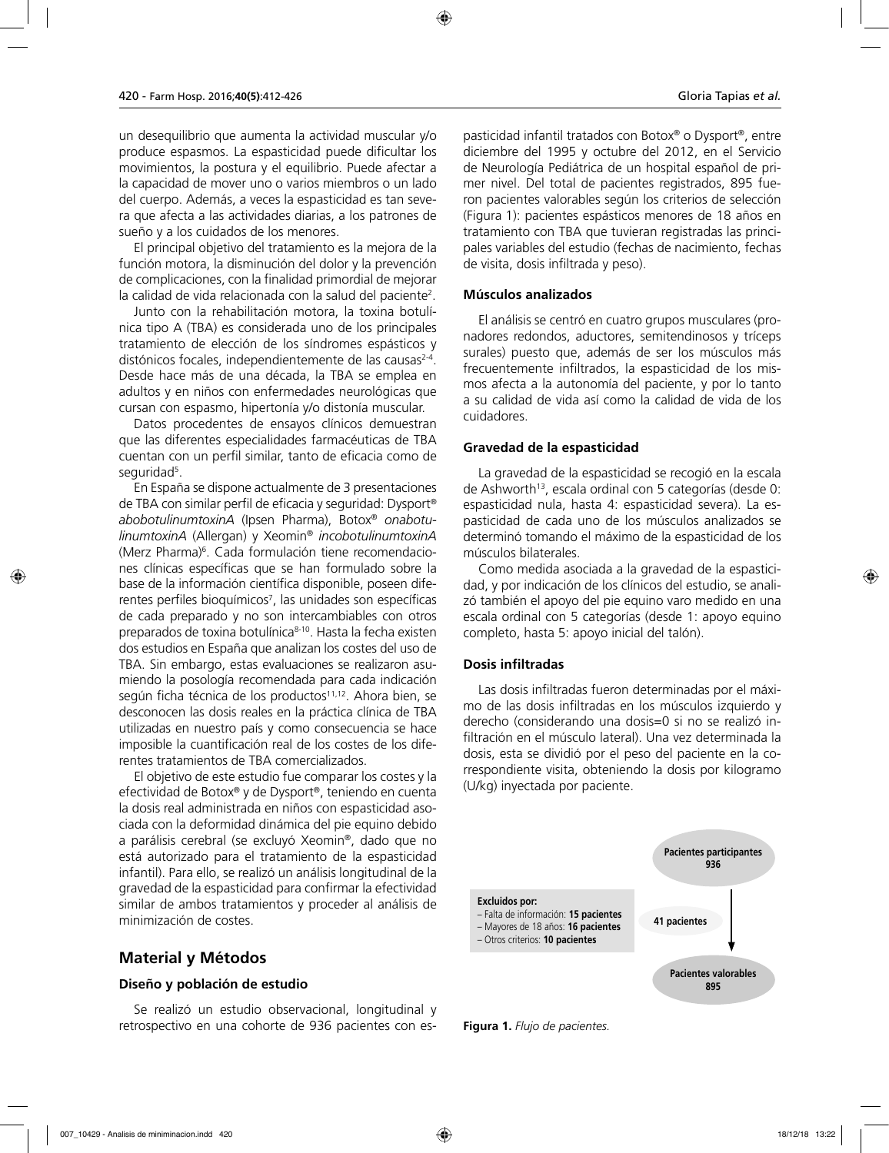un desequilibrio que aumenta la actividad muscular y/o produce espasmos. La espasticidad puede dificultar los movimientos, la postura y el equilibrio. Puede afectar a la capacidad de mover uno o varios miembros o un lado del cuerpo. Además, a veces la espasticidad es tan severa que afecta a las actividades diarias, a los patrones de sueño y a los cuidados de los menores.

El principal objetivo del tratamiento es la mejora de la función motora, la disminución del dolor y la prevención de complicaciones, con la finalidad primordial de mejorar la calidad de vida relacionada con la salud del paciente<sup>2</sup>.

Junto con la rehabilitación motora, la toxina botulínica tipo A (TBA) es considerada uno de los principales tratamiento de elección de los síndromes espásticos y distónicos focales, independientemente de las causas<sup>2-4</sup>. Desde hace más de una década, la TBA se emplea en adultos y en niños con enfermedades neurológicas que cursan con espasmo, hipertonía y/o distonía muscular.

Datos procedentes de ensayos clínicos demuestran que las diferentes especialidades farmacéuticas de TBA cuentan con un perfil similar, tanto de eficacia como de seguridad<sup>5</sup>.

En España se dispone actualmente de 3 presentaciones de TBA con similar perfil de eficacia y seguridad: Dysport® *abobotulinumtoxinA* (Ipsen Pharma), Botox® *onabotulinumtoxinA* (Allergan) y Xeomin® *incobotulinumtoxinA* (Merz Pharma)6 . Cada formulación tiene recomendaciones clínicas específicas que se han formulado sobre la base de la información científica disponible, poseen diferentes perfiles bioquímicos<sup>7</sup>, las unidades son específicas de cada preparado y no son intercambiables con otros preparados de toxina botulínica<sup>8-10</sup>. Hasta la fecha existen dos estudios en España que analizan los costes del uso de TBA. Sin embargo, estas evaluaciones se realizaron asumiendo la posología recomendada para cada indicación según ficha técnica de los productos<sup>11,12</sup>. Ahora bien, se desconocen las dosis reales en la práctica clínica de TBA utilizadas en nuestro país y como consecuencia se hace imposible la cuantificación real de los costes de los diferentes tratamientos de TBA comercializados.

El objetivo de este estudio fue comparar los costes y la efectividad de Botox® y de Dysport®, teniendo en cuenta la dosis real administrada en niños con espasticidad asociada con la deformidad dinámica del pie equino debido a parálisis cerebral (se excluyó Xeomin®, dado que no está autorizado para el tratamiento de la espasticidad infantil). Para ello, se realizó un análisis longitudinal de la gravedad de la espasticidad para confirmar la efectividad similar de ambos tratamientos y proceder al análisis de minimización de costes.

# **Material y Métodos**

#### **Diseño y población de estudio**

Se realizó un estudio observacional, longitudinal y retrospectivo en una cohorte de 936 pacientes con espasticidad infantil tratados con Botox® o Dysport®, entre diciembre del 1995 y octubre del 2012, en el Servicio de Neurología Pediátrica de un hospital español de primer nivel. Del total de pacientes registrados, 895 fueron pacientes valorables según los criterios de selección (Figura 1): pacientes espásticos menores de 18 años en tratamiento con TBA que tuvieran registradas las principales variables del estudio (fechas de nacimiento, fechas

### **Músculos analizados**

de visita, dosis infiltrada y peso).

El análisis se centró en cuatro grupos musculares (pronadores redondos, aductores, semitendinosos y tríceps surales) puesto que, además de ser los músculos más frecuentemente infiltrados, la espasticidad de los mismos afecta a la autonomía del paciente, y por lo tanto a su calidad de vida así como la calidad de vida de los cuidadores.

# **Gravedad de la espasticidad**

La gravedad de la espasticidad se recogió en la escala de Ashworth<sup>13</sup>, escala ordinal con 5 categorías (desde 0: espasticidad nula, hasta 4: espasticidad severa). La espasticidad de cada uno de los músculos analizados se determinó tomando el máximo de la espasticidad de los músculos bilaterales.

Como medida asociada a la gravedad de la espasticidad, y por indicación de los clínicos del estudio, se analizó también el apoyo del pie equino varo medido en una escala ordinal con 5 categorías (desde 1: apoyo equino completo, hasta 5: apoyo inicial del talón).

### **Dosis infiltradas**

Las dosis infiltradas fueron determinadas por el máximo de las dosis infiltradas en los músculos izquierdo y derecho (considerando una dosis=0 si no se realizó infiltración en el músculo lateral). Una vez determinada la dosis, esta se dividió por el peso del paciente en la correspondiente visita, obteniendo la dosis por kilogramo (U/kg) inyectada por paciente.



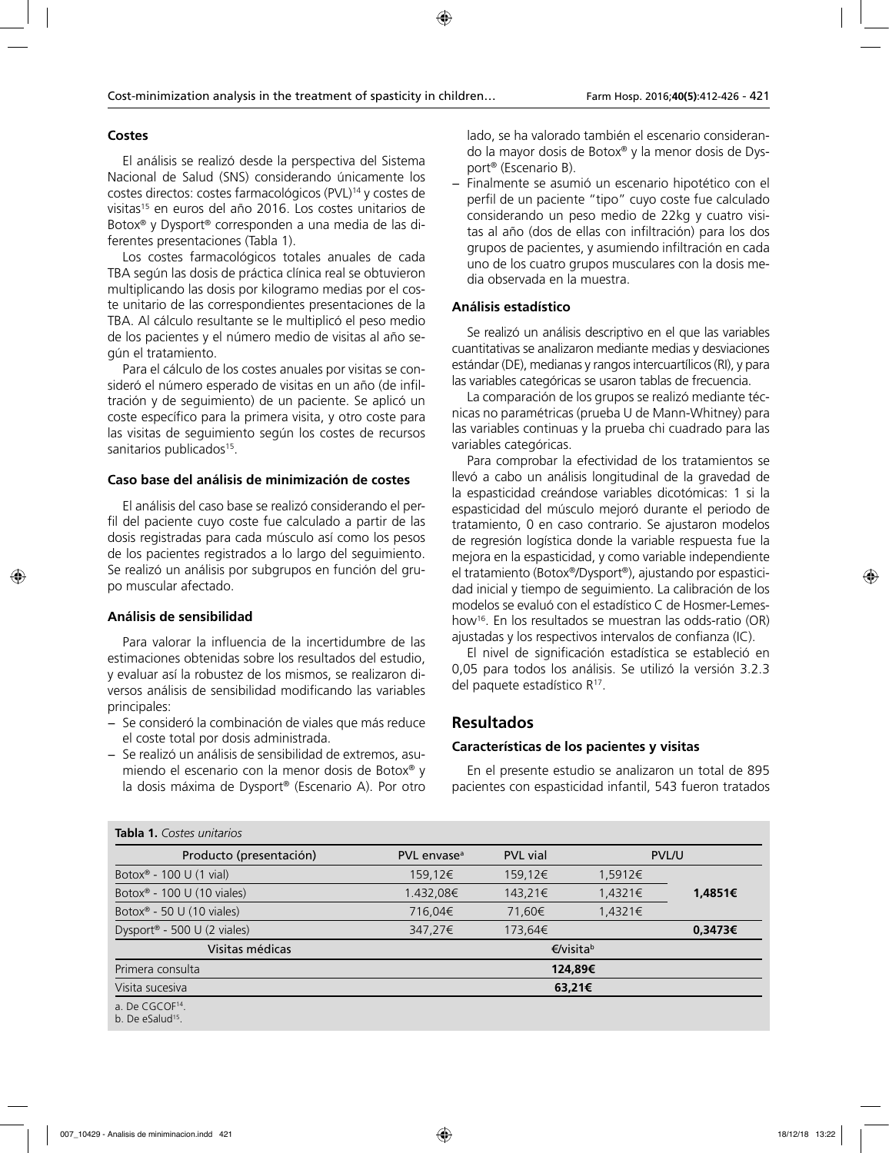### **Costes**

El análisis se realizó desde la perspectiva del Sistema Nacional de Salud (SNS) considerando únicamente los costes directos: costes farmacológicos (PVL)14 y costes de visitas<sup>15</sup> en euros del año 2016. Los costes unitarios de Botox® y Dysport® corresponden a una media de las diferentes presentaciones (Tabla 1).

Los costes farmacológicos totales anuales de cada TBA según las dosis de práctica clínica real se obtuvieron multiplicando las dosis por kilogramo medias por el coste unitario de las correspondientes presentaciones de la TBA. Al cálculo resultante se le multiplicó el peso medio de los pacientes y el número medio de visitas al año según el tratamiento.

Para el cálculo de los costes anuales por visitas se consideró el número esperado de visitas en un año (de infiltración y de seguimiento) de un paciente. Se aplicó un coste específico para la primera visita, y otro coste para las visitas de seguimiento según los costes de recursos sanitarios publicados<sup>15</sup>.

# **Caso base del análisis de minimización de costes**

El análisis del caso base se realizó considerando el perfil del paciente cuyo coste fue calculado a partir de las dosis registradas para cada músculo así como los pesos de los pacientes registrados a lo largo del seguimiento. Se realizó un análisis por subgrupos en función del grupo muscular afectado.

# **Análisis de sensibilidad**

Para valorar la influencia de la incertidumbre de las estimaciones obtenidas sobre los resultados del estudio, y evaluar así la robustez de los mismos, se realizaron diversos análisis de sensibilidad modificando las variables principales:

- − Se consideró la combinación de viales que más reduce el coste total por dosis administrada.
- − Se realizó un análisis de sensibilidad de extremos, asumiendo el escenario con la menor dosis de Botox® y la dosis máxima de Dysport® (Escenario A). Por otro

lado, se ha valorado también el escenario considerando la mayor dosis de Botox® y la menor dosis de Dysport® (Escenario B).

− Finalmente se asumió un escenario hipotético con el perfil de un paciente "tipo" cuyo coste fue calculado considerando un peso medio de 22kg y cuatro visitas al año (dos de ellas con infiltración) para los dos grupos de pacientes, y asumiendo infiltración en cada uno de los cuatro grupos musculares con la dosis media observada en la muestra.

# **Análisis estadístico**

Se realizó un análisis descriptivo en el que las variables cuantitativas se analizaron mediante medias y desviaciones estándar (DE), medianas y rangos intercuartílicos (RI), y para las variables categóricas se usaron tablas de frecuencia.

La comparación de los grupos se realizó mediante técnicas no paramétricas (prueba U de Mann-Whitney) para las variables continuas y la prueba chi cuadrado para las variables categóricas.

Para comprobar la efectividad de los tratamientos se llevó a cabo un análisis longitudinal de la gravedad de la espasticidad creándose variables dicotómicas: 1 si la espasticidad del músculo mejoró durante el periodo de tratamiento, 0 en caso contrario. Se ajustaron modelos de regresión logística donde la variable respuesta fue la mejora en la espasticidad, y como variable independiente el tratamiento (Botox®/Dysport®), ajustando por espasticidad inicial y tiempo de seguimiento. La calibración de los modelos se evaluó con el estadístico C de Hosmer-Lemeshow16. En los resultados se muestran las odds-ratio (OR) ajustadas y los respectivos intervalos de confianza (IC).

El nivel de significación estadística se estableció en 0,05 para todos los análisis. Se utilizó la versión 3.2.3 del paquete estadístico R<sup>17</sup>.

# **Resultados**

# **Características de los pacientes y visitas**

En el presente estudio se analizaron un total de 895 pacientes con espasticidad infantil, 543 fueron tratados

| Producto (presentación)                | PVL envase <sup>a</sup> | <b>PVL</b> vial |           | <b>PVL/U</b> |
|----------------------------------------|-------------------------|-----------------|-----------|--------------|
|                                        |                         |                 |           |              |
| Botox <sup>®</sup> - 100 U (1 vial)    | 159,12€                 | 159,12€         | 1,5912€   |              |
| Botox <sup>®</sup> - 100 U (10 viales) | 1.432,08€               | 143,21€         | 1,4321€   | 1,4851€      |
| Botox <sup>®</sup> - 50 U (10 viales)  | 716,04€                 | 71,60€          | 1,4321€   |              |
| Dysport® - 500 U (2 viales)            | 347,27€                 | 173,64€         |           | 0,3473€      |
| Visitas médicas                        |                         |                 | €/visitab |              |
| Primera consulta                       |                         |                 | 124,89€   |              |
| Visita sucesiva                        | 63,21€                  |                 |           |              |
| a. De CGCO $F14$ .                     |                         |                 |           |              |
| b. De eSalud <sup>15</sup> .           |                         |                 |           |              |

#### **Tabla 1.** *Costes unitarios*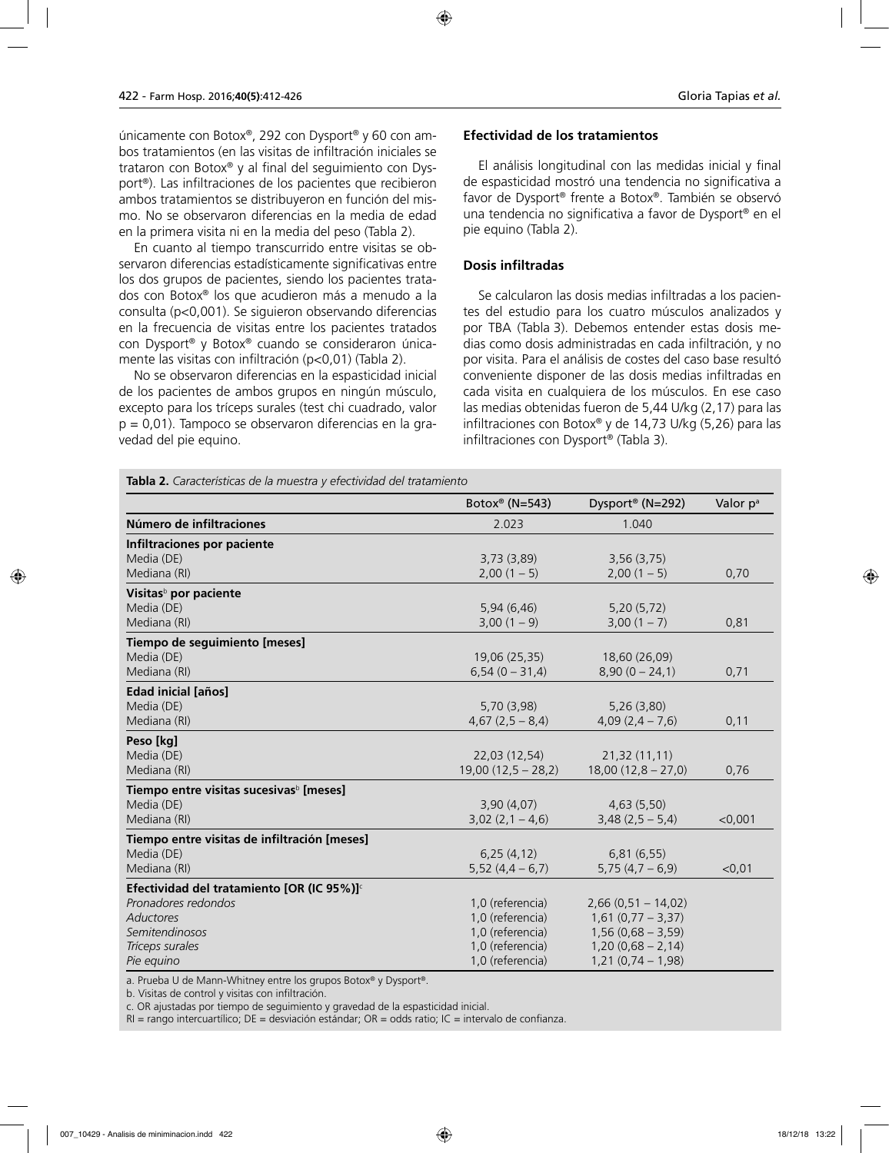únicamente con Botox®, 292 con Dysport® y 60 con ambos tratamientos (en las visitas de infiltración iniciales se trataron con Botox® y al final del seguimiento con Dysport®). Las infiltraciones de los pacientes que recibieron ambos tratamientos se distribuyeron en función del mismo. No se observaron diferencias en la media de edad en la primera visita ni en la media del peso (Tabla 2).

En cuanto al tiempo transcurrido entre visitas se observaron diferencias estadísticamente significativas entre los dos grupos de pacientes, siendo los pacientes tratados con Botox® los que acudieron más a menudo a la consulta (p<0,001). Se siguieron observando diferencias en la frecuencia de visitas entre los pacientes tratados con Dysport® y Botox® cuando se consideraron únicamente las visitas con infiltración (p<0,01) (Tabla 2).

No se observaron diferencias en la espasticidad inicial de los pacientes de ambos grupos en ningún músculo, excepto para los tríceps surales (test chi cuadrado, valor p = 0,01). Tampoco se observaron diferencias en la gravedad del pie equino.

### **Efectividad de los tratamientos**

El análisis longitudinal con las medidas inicial y final de espasticidad mostró una tendencia no significativa a favor de Dysport® frente a Botox®. También se observó una tendencia no significativa a favor de Dysport® en el pie equino (Tabla 2).

### **Dosis infiltradas**

Se calcularon las dosis medias infiltradas a los pacientes del estudio para los cuatro músculos analizados y por TBA (Tabla 3). Debemos entender estas dosis medias como dosis administradas en cada infiltración, y no por visita. Para el análisis de costes del caso base resultó conveniente disponer de las dosis medias infiltradas en cada visita en cualquiera de los músculos. En ese caso las medias obtenidas fueron de 5,44 U/kg (2,17) para las infiltraciones con Botox® y de 14,73 U/kg (5,26) para las infiltraciones con Dysport® (Tabla 3).

**Tabla 2.** *Características de la muestra y efectividad del tratamiento*

| <b>lable 2.</b> Calacteristicas de la muestra y electriquad del tratamiento | Botox <sup>®</sup> (N=543) | Dysport <sup>®</sup> (N=292) | Valor p <sup>a</sup> |
|-----------------------------------------------------------------------------|----------------------------|------------------------------|----------------------|
|                                                                             |                            |                              |                      |
| Número de infiltraciones                                                    | 2.023                      | 1.040                        |                      |
| Infiltraciones por paciente                                                 |                            |                              |                      |
| Media (DE)                                                                  | 3,73(3,89)                 | 3,56(3,75)                   |                      |
| Mediana (RI)                                                                | 2,00(1 – 5)                | 2,00(1 – 5)                  | 0,70                 |
| Visitas <sup>b</sup> por paciente                                           |                            |                              |                      |
| Media (DE)                                                                  | 5,94(6,46)                 | 5,20(5,72)                   |                      |
| Mediana (RI)                                                                | 3,00(1 – 9)                | 3,00(1 – 7)                  | 0,81                 |
| Tiempo de seguimiento [meses]                                               |                            |                              |                      |
| Media (DE)                                                                  | 19,06 (25,35)              | 18,60 (26,09)                |                      |
| Mediana (RI)                                                                | $6,54(0 - 31,4)$           | $8,90(0 - 24,1)$             | 0,71                 |
| <b>Edad inicial [años]</b>                                                  |                            |                              |                      |
| Media (DE)                                                                  | 5,70(3,98)                 | 5,26(3,80)                   |                      |
| Mediana (RI)                                                                | $4,67(2,5-8,4)$            | $4,09(2,4-7,6)$              | 0,11                 |
| Peso [kg]                                                                   |                            |                              |                      |
| Media (DE)                                                                  | 22,03 (12,54)              | 21,32 (11,11)                |                      |
| Mediana (RI)                                                                | $19,00(12,5 - 28,2)$       | $18,00(12,8 - 27,0)$         | 0,76                 |
| Tiempo entre visitas sucesivas <sup>b</sup> [meses]                         |                            |                              |                      |
| Media (DE)                                                                  | 3,90(4,07)                 | 4,63(5,50)                   |                      |
| Mediana (RI)                                                                | $3,02(2,1-4,6)$            | $3,48(2,5-5,4)$              | $<$ 0,001            |
| Tiempo entre visitas de infiltración [meses]                                |                            |                              |                      |
| Media (DE)                                                                  | 6,25(4,12)                 | 6,81(6,55)                   |                      |
| Mediana (RI)                                                                | $5,52(4,4-6,7)$            | $5,75(4,7-6,9)$              | < 0,01               |
| Efectividad del tratamiento [OR (IC 95%)] <sup>c</sup>                      |                            |                              |                      |
| Pronadores redondos                                                         | 1,0 (referencia)           | $2,66(0,51 - 14,02)$         |                      |
| Aductores                                                                   | 1,0 (referencia)           | $1,61(0,77 - 3,37)$          |                      |
| Semitendinosos                                                              | 1,0 (referencia)           | $1,56(0,68 - 3,59)$          |                      |
| Tríceps surales                                                             | 1,0 (referencia)           | $1,20(0,68 - 2,14)$          |                      |
| Pie equino                                                                  | 1,0 (referencia)           | $1,21(0,74-1,98)$            |                      |

a. Prueba U de Mann-Whitney entre los grupos Botox® y Dysport®.

b. Visitas de control y visitas con infiltración.

c. OR ajustadas por tiempo de seguimiento y gravedad de la espasticidad inicial.

 $RI =$  rango intercuartílico;  $DE =$  desviación estándar;  $OR =$  odds ratio;  $IC =$  intervalo de confianza.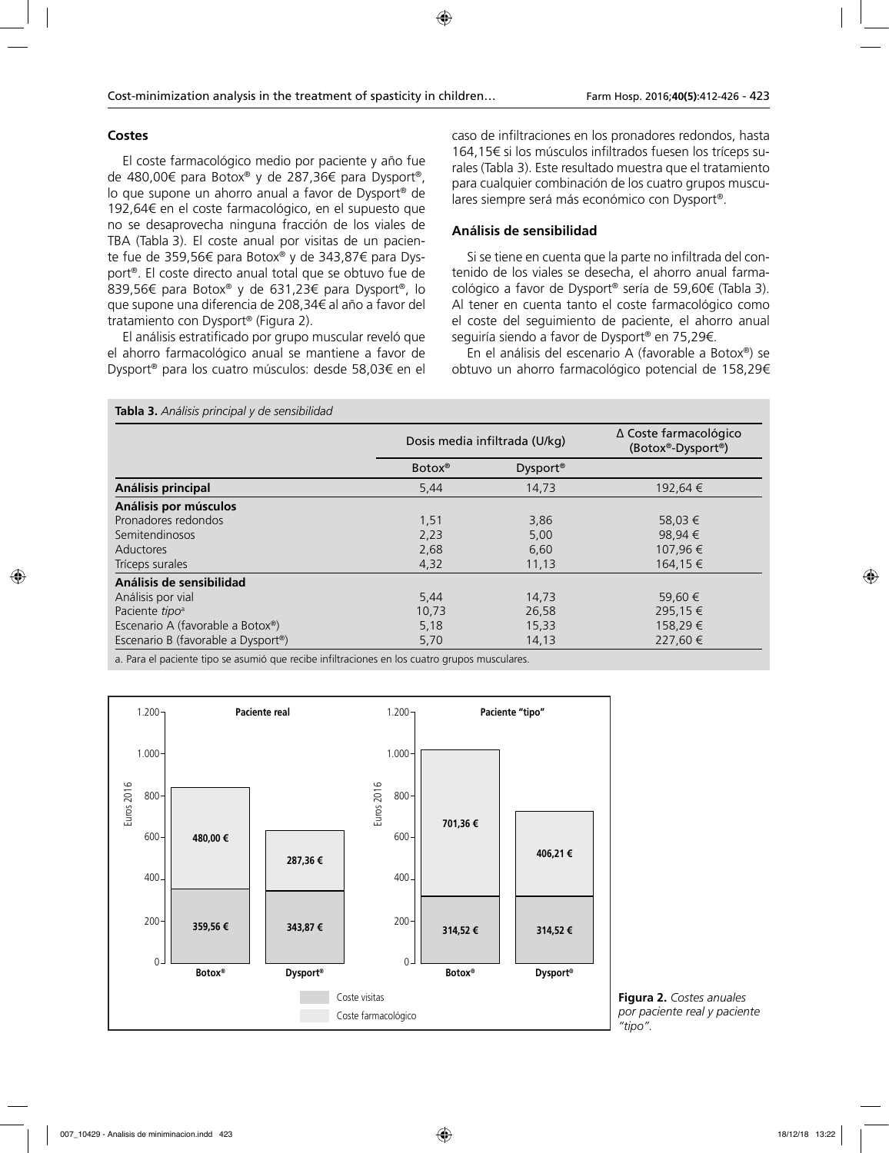# **Costes**

El coste farmacológico medio por paciente y año fue de 480,00€ para Botox® y de 287,36€ para Dysport®, lo que supone un ahorro anual a favor de Dysport® de 192,64€ en el coste farmacológico, en el supuesto que no se desaprovecha ninguna fracción de los viales de TBA (Tabla 3). El coste anual por visitas de un paciente fue de 359,56€ para Botox® y de 343,87€ para Dysport®. El coste directo anual total que se obtuvo fue de 839,56€ para Botox® y de 631,23€ para Dysport®, lo que supone una diferencia de 208,34€ al año a favor del tratamiento con Dysport® (Figura 2).

El análisis estratificado por grupo muscular reveló que el ahorro farmacológico anual se mantiene a favor de Dysport® para los cuatro músculos: desde 58,03€ en el caso de infiltraciones en los pronadores redondos, hasta 164,15€ si los músculos infiltrados fuesen los tríceps surales (Tabla 3). Este resultado muestra que el tratamiento para cualquier combinación de los cuatro grupos musculares siempre será más económico con Dysport®.

# **Análisis de sensibilidad**

Si se tiene en cuenta que la parte no infiltrada del contenido de los viales se desecha, el ahorro anual farmacológico a favor de Dysport® sería de 59,60€ (Tabla 3). Al tener en cuenta tanto el coste farmacológico como el coste del seguimiento de paciente, el ahorro anual seguiría siendo a favor de Dysport® en 75,29€.

En el análisis del escenario A (favorable a Botox®) se obtuvo un ahorro farmacológico potencial de 158,29€

| Tabla 3. Análisis principal y de sensibilidad   |                    |                               |                                            |  |
|-------------------------------------------------|--------------------|-------------------------------|--------------------------------------------|--|
|                                                 |                    | Dosis media infiltrada (U/kg) | ∆ Coste farmacológico<br>(Botox®-Dysport®) |  |
|                                                 | Botox <sup>®</sup> | Dysport <sup>®</sup>          |                                            |  |
| Análisis principal                              | 5,44               | 14,73                         | 192,64 €                                   |  |
| Análisis por músculos                           |                    |                               |                                            |  |
| Pronadores redondos                             | 1,51               | 3,86                          | 58,03 €                                    |  |
| Semitendinosos                                  | 2,23               | 5,00                          | 98.94 €                                    |  |
| Aductores                                       | 2,68               | 6,60                          | 107,96 €                                   |  |
| Tríceps surales                                 | 4,32               | 11,13                         | 164,15 €                                   |  |
| Análisis de sensibilidad                        |                    |                               |                                            |  |
| Análisis por vial                               | 5,44               | 14,73                         | 59,60 €                                    |  |
| Paciente tipo <sup>a</sup>                      | 10,73              | 26,58                         | 295,15 €                                   |  |
| Escenario A (favorable a Botox®)                | 5,18               | 15,33                         | 158,29€                                    |  |
| Escenario B (favorable a Dysport <sup>®</sup> ) | 5,70               | 14,13                         | 227,60 €                                   |  |

a. Para el paciente tipo se asumió que recibe infiltraciones en los cuatro grupos musculares.



**Figura 2.** *Costes anuales por paciente real y paciente "tipo".*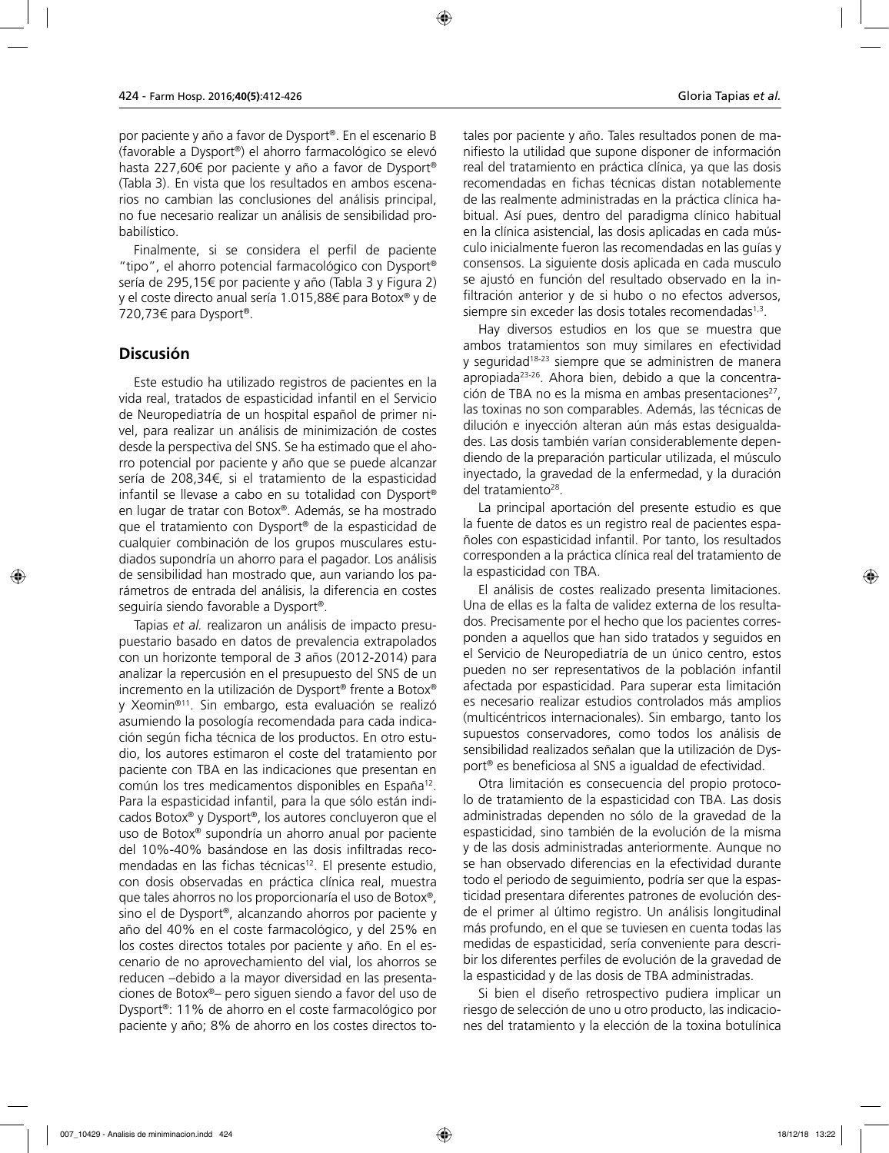por paciente y año a favor de Dysport®. En el escenario B (favorable a Dysport®) el ahorro farmacológico se elevó hasta 227,60€ por paciente y año a favor de Dysport® (Tabla 3). En vista que los resultados en ambos escenarios no cambian las conclusiones del análisis principal, no fue necesario realizar un análisis de sensibilidad probabilístico.

Finalmente, si se considera el perfil de paciente "tipo", el ahorro potencial farmacológico con Dysport® sería de 295,15€ por paciente y año (Tabla 3 y Figura 2) y el coste directo anual sería 1.015,88€ para Botox® y de 720,73€ para Dysport®.

# **Discusión**

Este estudio ha utilizado registros de pacientes en la vida real, tratados de espasticidad infantil en el Servicio de Neuropediatría de un hospital español de primer nivel, para realizar un análisis de minimización de costes desde la perspectiva del SNS. Se ha estimado que el ahorro potencial por paciente y año que se puede alcanzar sería de 208,34€, si el tratamiento de la espasticidad infantil se llevase a cabo en su totalidad con Dysport® en lugar de tratar con Botox®. Además, se ha mostrado que el tratamiento con Dysport® de la espasticidad de cualquier combinación de los grupos musculares estudiados supondría un ahorro para el pagador. Los análisis de sensibilidad han mostrado que, aun variando los parámetros de entrada del análisis, la diferencia en costes seguiría siendo favorable a Dysport®.

Tapias *et al.* realizaron un análisis de impacto presupuestario basado en datos de prevalencia extrapolados con un horizonte temporal de 3 años (2012-2014) para analizar la repercusión en el presupuesto del SNS de un incremento en la utilización de Dysport® frente a Botox® y Xeomin®11. Sin embargo, esta evaluación se realizó asumiendo la posología recomendada para cada indicación según ficha técnica de los productos. En otro estudio, los autores estimaron el coste del tratamiento por paciente con TBA en las indicaciones que presentan en común los tres medicamentos disponibles en España12. Para la espasticidad infantil, para la que sólo están indicados Botox® y Dysport®, los autores concluyeron que el uso de Botox® supondría un ahorro anual por paciente del 10%-40% basándose en las dosis infiltradas recomendadas en las fichas técnicas<sup>12</sup>. El presente estudio, con dosis observadas en práctica clínica real, muestra que tales ahorros no los proporcionaría el uso de Botox®, sino el de Dysport®, alcanzando ahorros por paciente y año del 40% en el coste farmacológico, y del 25% en los costes directos totales por paciente y año. En el escenario de no aprovechamiento del vial, los ahorros se reducen –debido a la mayor diversidad en las presentaciones de Botox®– pero siguen siendo a favor del uso de Dysport®: 11% de ahorro en el coste farmacológico por paciente y año; 8% de ahorro en los costes directos totales por paciente y año. Tales resultados ponen de manifiesto la utilidad que supone disponer de información real del tratamiento en práctica clínica, ya que las dosis recomendadas en fichas técnicas distan notablemente de las realmente administradas en la práctica clínica habitual. Así pues, dentro del paradigma clínico habitual en la clínica asistencial, las dosis aplicadas en cada músculo inicialmente fueron las recomendadas en las guías y consensos. La siguiente dosis aplicada en cada musculo se ajustó en función del resultado observado en la infiltración anterior y de si hubo o no efectos adversos, siempre sin exceder las dosis totales recomendadas<sup>1,3</sup>.

Hay diversos estudios en los que se muestra que ambos tratamientos son muy similares en efectividad y seguridad18-23 siempre que se administren de manera apropiada23-26. Ahora bien, debido a que la concentración de TBA no es la misma en ambas presentaciones $27$ , las toxinas no son comparables. Además, las técnicas de dilución e inyección alteran aún más estas desigualdades. Las dosis también varían considerablemente dependiendo de la preparación particular utilizada, el músculo inyectado, la gravedad de la enfermedad, y la duración del tratamiento<sup>28</sup>.

La principal aportación del presente estudio es que la fuente de datos es un registro real de pacientes españoles con espasticidad infantil. Por tanto, los resultados corresponden a la práctica clínica real del tratamiento de la espasticidad con TBA.

El análisis de costes realizado presenta limitaciones. Una de ellas es la falta de validez externa de los resultados. Precisamente por el hecho que los pacientes corresponden a aquellos que han sido tratados y seguidos en el Servicio de Neuropediatría de un único centro, estos pueden no ser representativos de la población infantil afectada por espasticidad. Para superar esta limitación es necesario realizar estudios controlados más amplios (multicéntricos internacionales). Sin embargo, tanto los supuestos conservadores, como todos los análisis de sensibilidad realizados señalan que la utilización de Dysport® es beneficiosa al SNS a igualdad de efectividad.

Otra limitación es consecuencia del propio protocolo de tratamiento de la espasticidad con TBA. Las dosis administradas dependen no sólo de la gravedad de la espasticidad, sino también de la evolución de la misma y de las dosis administradas anteriormente. Aunque no se han observado diferencias en la efectividad durante todo el periodo de seguimiento, podría ser que la espasticidad presentara diferentes patrones de evolución desde el primer al último registro. Un análisis longitudinal más profundo, en el que se tuviesen en cuenta todas las medidas de espasticidad, sería conveniente para describir los diferentes perfiles de evolución de la gravedad de la espasticidad y de las dosis de TBA administradas.

Si bien el diseño retrospectivo pudiera implicar un riesgo de selección de uno u otro producto, las indicaciones del tratamiento y la elección de la toxina botulínica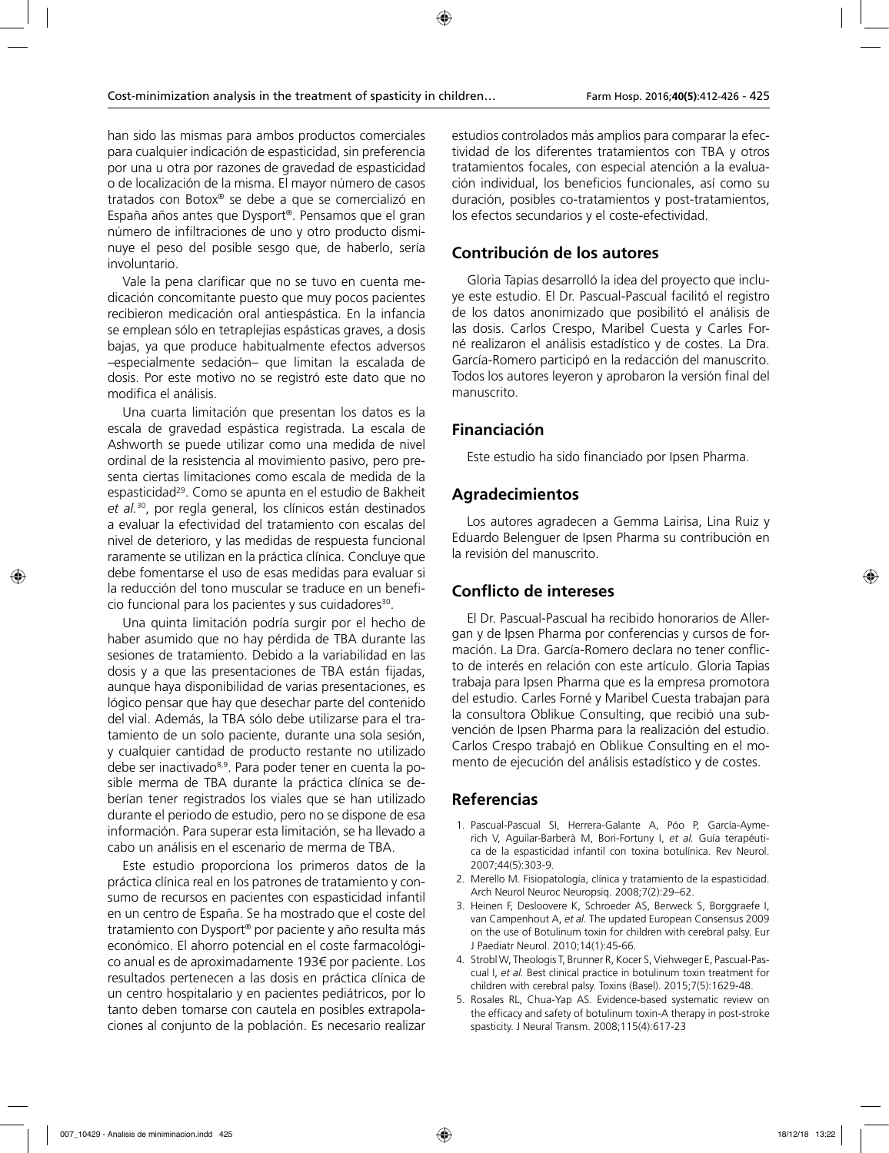han sido las mismas para ambos productos comerciales para cualquier indicación de espasticidad, sin preferencia por una u otra por razones de gravedad de espasticidad o de localización de la misma. El mayor número de casos tratados con Botox® se debe a que se comercializó en España años antes que Dysport®. Pensamos que el gran número de infiltraciones de uno y otro producto disminuye el peso del posible sesgo que, de haberlo, sería involuntario.

Vale la pena clarificar que no se tuvo en cuenta medicación concomitante puesto que muy pocos pacientes recibieron medicación oral antiespástica. En la infancia se emplean sólo en tetraplejias espásticas graves, a dosis bajas, ya que produce habitualmente efectos adversos –especialmente sedación– que limitan la escalada de dosis. Por este motivo no se registró este dato que no modifica el análisis.

Una cuarta limitación que presentan los datos es la escala de gravedad espástica registrada. La escala de Ashworth se puede utilizar como una medida de nivel ordinal de la resistencia al movimiento pasivo, pero presenta ciertas limitaciones como escala de medida de la espasticidad<sup>29</sup>. Como se apunta en el estudio de Bakheit *et al.*30, por regla general, los clínicos están destinados a evaluar la efectividad del tratamiento con escalas del nivel de deterioro, y las medidas de respuesta funcional raramente se utilizan en la práctica clínica. Concluye que debe fomentarse el uso de esas medidas para evaluar si la reducción del tono muscular se traduce en un beneficio funcional para los pacientes y sus cuidadores<sup>30</sup>.

Una quinta limitación podría surgir por el hecho de haber asumido que no hay pérdida de TBA durante las sesiones de tratamiento. Debido a la variabilidad en las dosis y a que las presentaciones de TBA están fijadas, aunque haya disponibilidad de varias presentaciones, es lógico pensar que hay que desechar parte del contenido del vial. Además, la TBA sólo debe utilizarse para el tratamiento de un solo paciente, durante una sola sesión, y cualquier cantidad de producto restante no utilizado debe ser inactivado<sup>8,9</sup>. Para poder tener en cuenta la posible merma de TBA durante la práctica clínica se deberían tener registrados los viales que se han utilizado durante el periodo de estudio, pero no se dispone de esa información. Para superar esta limitación, se ha llevado a cabo un análisis en el escenario de merma de TBA.

Este estudio proporciona los primeros datos de la práctica clínica real en los patrones de tratamiento y consumo de recursos en pacientes con espasticidad infantil en un centro de España. Se ha mostrado que el coste del tratamiento con Dysport® por paciente y año resulta más económico. El ahorro potencial en el coste farmacológico anual es de aproximadamente 193€ por paciente. Los resultados pertenecen a las dosis en práctica clínica de un centro hospitalario y en pacientes pediátricos, por lo tanto deben tomarse con cautela en posibles extrapolaciones al conjunto de la población. Es necesario realizar

estudios controlados más amplios para comparar la efectividad de los diferentes tratamientos con TBA y otros tratamientos focales, con especial atención a la evaluación individual, los beneficios funcionales, así como su duración, posibles co-tratamientos y post-tratamientos, los efectos secundarios y el coste-efectividad.

# **Contribución de los autores**

Gloria Tapias desarrolló la idea del proyecto que incluye este estudio. El Dr. Pascual-Pascual facilitó el registro de los datos anonimizado que posibilitó el análisis de las dosis. Carlos Crespo, Maribel Cuesta y Carles Forné realizaron el análisis estadístico y de costes. La Dra. García-Romero participó en la redacción del manuscrito. Todos los autores leyeron y aprobaron la versión final del manuscrito.

# **Financiación**

Este estudio ha sido financiado por Ipsen Pharma.

# **Agradecimientos**

Los autores agradecen a Gemma Lairisa, Lina Ruiz y Eduardo Belenguer de Ipsen Pharma su contribución en la revisión del manuscrito.

# **Conflicto de intereses**

El Dr. Pascual-Pascual ha recibido honorarios de Allergan y de Ipsen Pharma por conferencias y cursos de formación. La Dra. García-Romero declara no tener conflicto de interés en relación con este artículo. Gloria Tapias trabaja para Ipsen Pharma que es la empresa promotora del estudio. Carles Forné y Maribel Cuesta trabajan para la consultora Oblikue Consulting, que recibió una subvención de Ipsen Pharma para la realización del estudio. Carlos Crespo trabajó en Oblikue Consulting en el momento de ejecución del análisis estadístico y de costes.

# **Referencias**

- 1. Pascual-Pascual SI, Herrera-Galante A, Póo P, García-Aymerich V, Aguilar-Barberà M, Bori-Fortuny I, *et al.* Guía terapéutica de la espasticidad infantil con toxina botulínica. Rev Neurol. 2007;44(5):303-9.
- 2. Merello M. Fisiopatología, clínica y tratamiento de la espasticidad. Arch Neurol Neuroc Neuropsiq. 2008;7(2):29–62.
- 3. Heinen F, Desloovere K, Schroeder AS, Berweck S, Borggraefe I, van Campenhout A, *et al.* The updated European Consensus 2009 on the use of Botulinum toxin for children with cerebral palsy. Eur J Paediatr Neurol. 2010;14(1):45-66.
- 4. Strobl W, Theologis T, Brunner R, Kocer S, Viehweger E, Pascual-Pascual I, *et al.* Best clinical practice in botulinum toxin treatment for children with cerebral palsy. Toxins (Basel). 2015;7(5):1629-48.
- 5. Rosales RL, Chua-Yap AS. Evidence-based systematic review on the efficacy and safety of botulinum toxin-A therapy in post-stroke spasticity. J Neural Transm. 2008;115(4):617-23